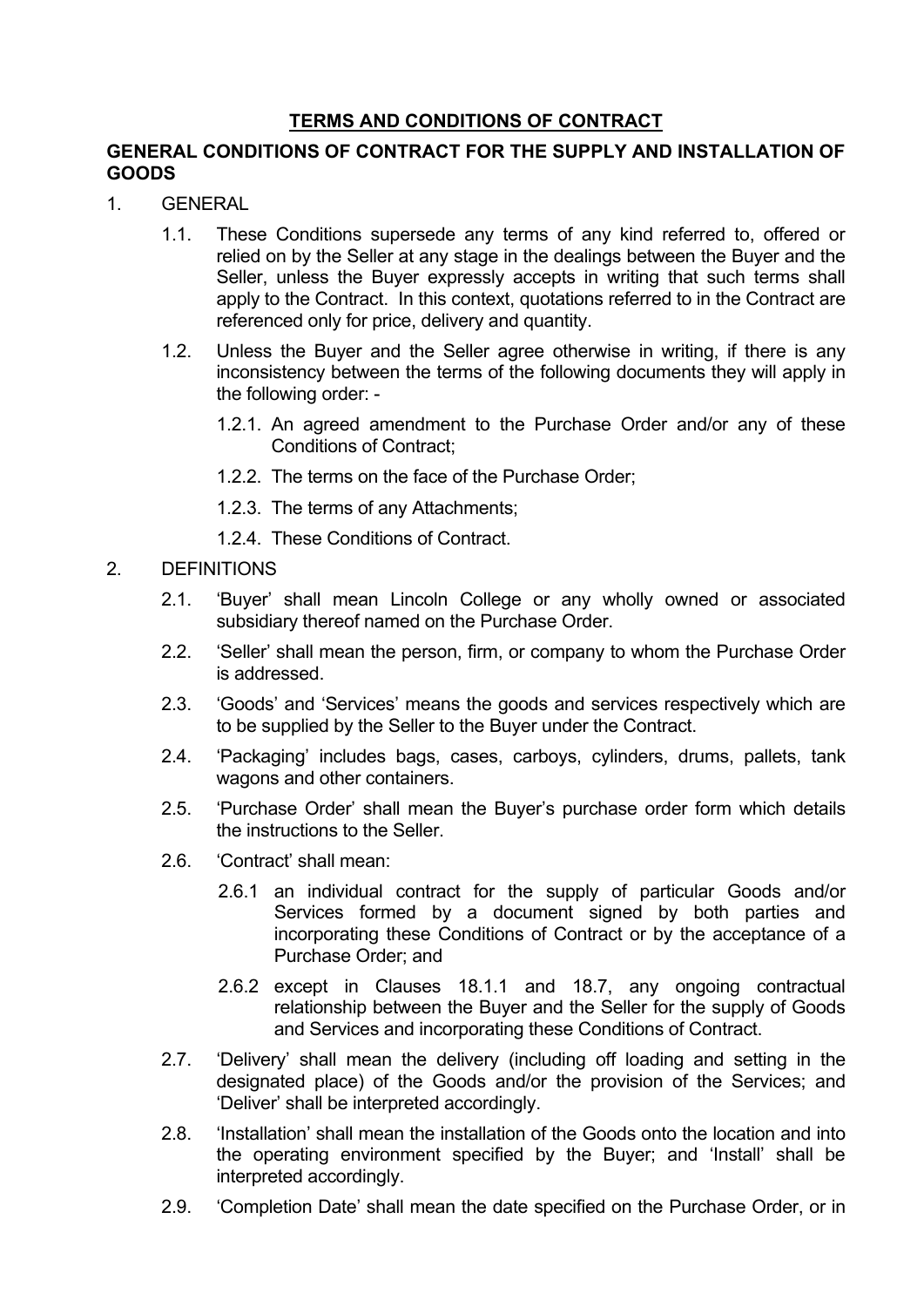# **TERMS AND CONDITIONS OF CONTRACT**

# **GENERAL CONDITIONS OF CONTRACT FOR THE SUPPLY AND INSTALLATION OF GOODS**

- 1. GENERAL
	- 1.1. These Conditions supersede any terms of any kind referred to, offered or relied on by the Seller at any stage in the dealings between the Buyer and the Seller, unless the Buyer expressly accepts in writing that such terms shall apply to the Contract. In this context, quotations referred to in the Contract are referenced only for price, delivery and quantity.
	- 1.2. Unless the Buyer and the Seller agree otherwise in writing, if there is any inconsistency between the terms of the following documents they will apply in the following order: -
		- 1.2.1. An agreed amendment to the Purchase Order and/or any of these Conditions of Contract;
		- 1.2.2. The terms on the face of the Purchase Order;
		- 1.2.3. The terms of any Attachments;
		- 1.2.4. These Conditions of Contract.

# 2. DEFINITIONS

- 2.1. 'Buyer' shall mean Lincoln College or any wholly owned or associated subsidiary thereof named on the Purchase Order.
- 2.2. 'Seller' shall mean the person, firm, or company to whom the Purchase Order is addressed.
- 2.3. 'Goods' and 'Services' means the goods and services respectively which are to be supplied by the Seller to the Buyer under the Contract.
- 2.4. 'Packaging' includes bags, cases, carboys, cylinders, drums, pallets, tank wagons and other containers.
- 2.5. 'Purchase Order' shall mean the Buyer's purchase order form which details the instructions to the Seller.
- 2.6. 'Contract' shall mean:
	- 2.6.1 an individual contract for the supply of particular Goods and/or Services formed by a document signed by both parties and incorporating these Conditions of Contract or by the acceptance of a Purchase Order; and
	- 2.6.2 except in Clauses 18.1.1 and 18.7, any ongoing contractual relationship between the Buyer and the Seller for the supply of Goods and Services and incorporating these Conditions of Contract.
- 2.7. 'Delivery' shall mean the delivery (including off loading and setting in the designated place) of the Goods and/or the provision of the Services; and 'Deliver' shall be interpreted accordingly.
- 2.8. 'Installation' shall mean the installation of the Goods onto the location and into the operating environment specified by the Buyer; and 'Install' shall be interpreted accordingly.
- 2.9. 'Completion Date' shall mean the date specified on the Purchase Order, or in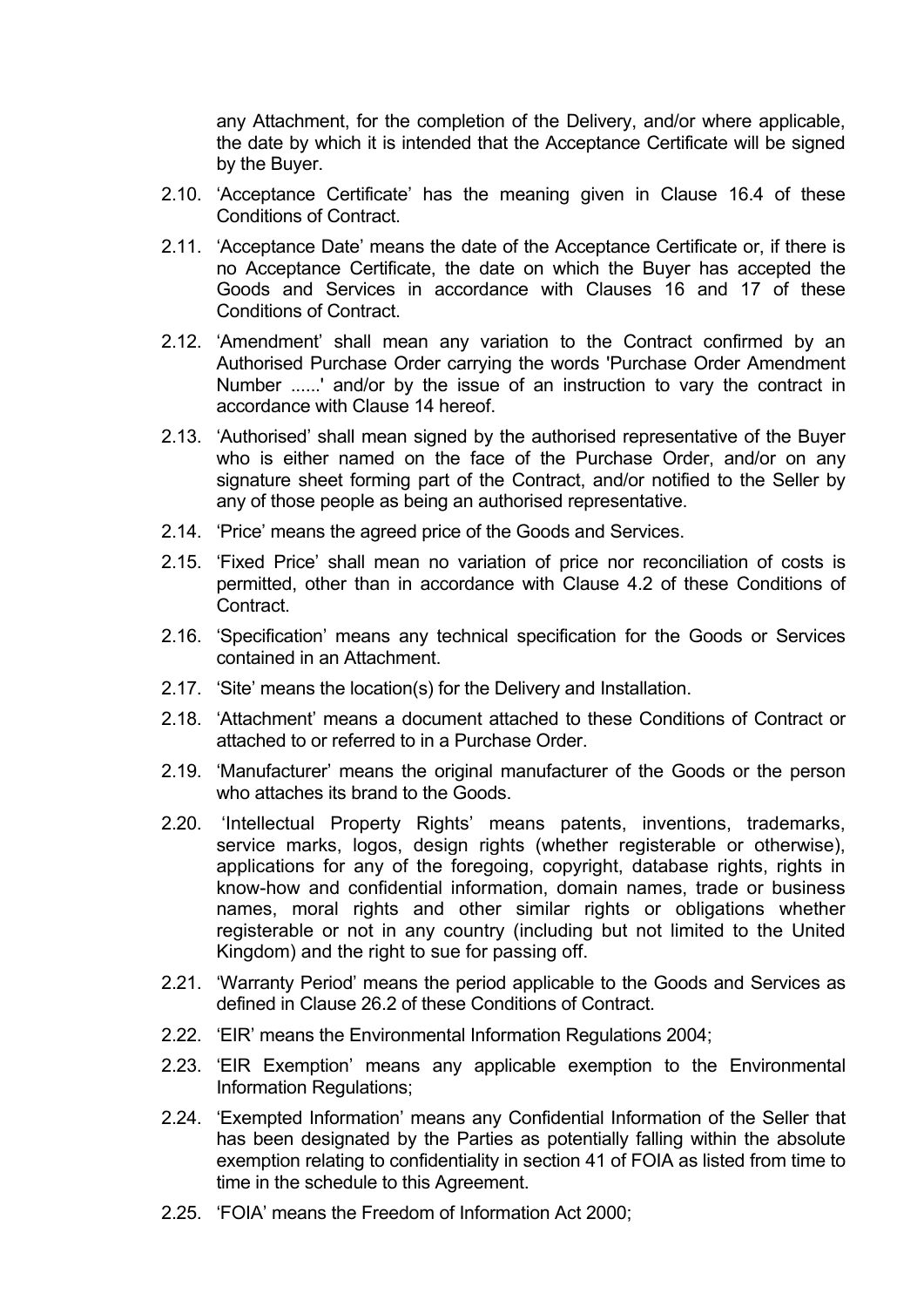any Attachment, for the completion of the Delivery, and/or where applicable, the date by which it is intended that the Acceptance Certificate will be signed by the Buyer.

- 2.10. 'Acceptance Certificate' has the meaning given in Clause 16.4 of these Conditions of Contract.
- 2.11. 'Acceptance Date' means the date of the Acceptance Certificate or, if there is no Acceptance Certificate, the date on which the Buyer has accepted the Goods and Services in accordance with Clauses 16 and 17 of these Conditions of Contract.
- 2.12. 'Amendment' shall mean any variation to the Contract confirmed by an Authorised Purchase Order carrying the words 'Purchase Order Amendment Number ......' and/or by the issue of an instruction to vary the contract in accordance with Clause 14 hereof.
- 2.13. 'Authorised' shall mean signed by the authorised representative of the Buyer who is either named on the face of the Purchase Order, and/or on any signature sheet forming part of the Contract, and/or notified to the Seller by any of those people as being an authorised representative.
- 2.14. 'Price' means the agreed price of the Goods and Services.
- 2.15. 'Fixed Price' shall mean no variation of price nor reconciliation of costs is permitted, other than in accordance with Clause 4.2 of these Conditions of Contract.
- 2.16. 'Specification' means any technical specification for the Goods or Services contained in an Attachment.
- 2.17. 'Site' means the location(s) for the Delivery and Installation.
- 2.18. 'Attachment' means a document attached to these Conditions of Contract or attached to or referred to in a Purchase Order.
- 2.19. 'Manufacturer' means the original manufacturer of the Goods or the person who attaches its brand to the Goods.
- 2.20. 'Intellectual Property Rights' means patents, inventions, trademarks, service marks, logos, design rights (whether registerable or otherwise), applications for any of the foregoing, copyright, database rights, rights in know-how and confidential information, domain names, trade or business names, moral rights and other similar rights or obligations whether registerable or not in any country (including but not limited to the United Kingdom) and the right to sue for passing off.
- 2.21. 'Warranty Period' means the period applicable to the Goods and Services as defined in Clause 26.2 of these Conditions of Contract.
- 2.22. 'EIR' means the Environmental Information Regulations 2004;
- 2.23. 'EIR Exemption' means any applicable exemption to the Environmental Information Regulations;
- 2.24. 'Exempted Information' means any Confidential Information of the Seller that has been designated by the Parties as potentially falling within the absolute exemption relating to confidentiality in section 41 of FOIA as listed from time to time in the schedule to this Agreement.
- 2.25. 'FOIA' means the Freedom of Information Act 2000;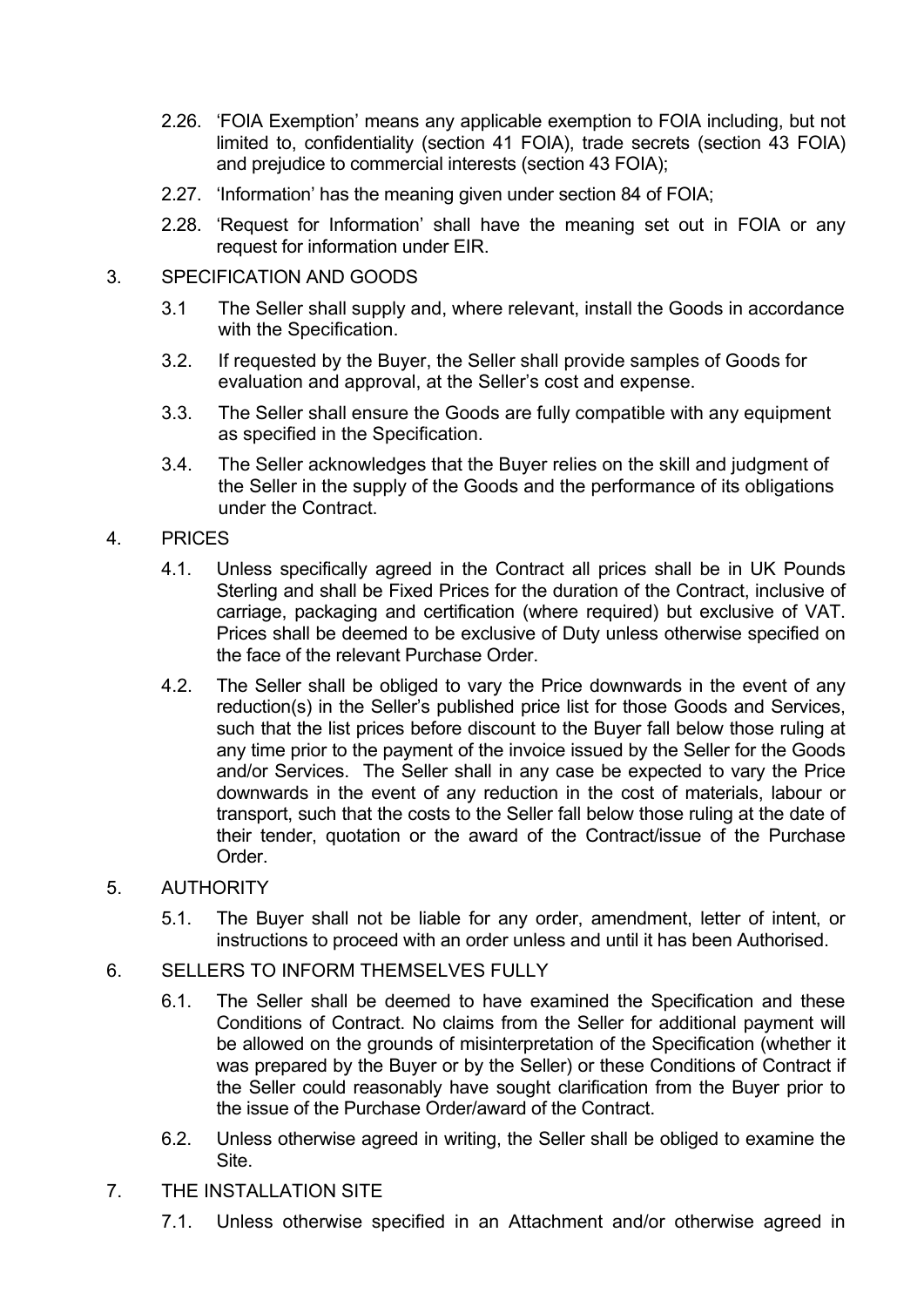- 2.26. 'FOIA Exemption' means any applicable exemption to FOIA including, but not limited to, confidentiality (section 41 FOIA), trade secrets (section 43 FOIA) and prejudice to commercial interests (section 43 FOIA);
- 2.27. 'Information' has the meaning given under section 84 of FOIA;
- 2.28. 'Request for Information' shall have the meaning set out in FOIA or any request for information under EIR.

# 3. SPECIFICATION AND GOODS

- 3.1 The Seller shall supply and, where relevant, install the Goods in accordance with the Specification.
- 3.2. If requested by the Buyer, the Seller shall provide samples of Goods for evaluation and approval, at the Seller's cost and expense.
- 3.3. The Seller shall ensure the Goods are fully compatible with any equipment as specified in the Specification.
- 3.4. The Seller acknowledges that the Buyer relies on the skill and judgment of the Seller in the supply of the Goods and the performance of its obligations under the Contract.

# 4. PRICES

- 4.1. Unless specifically agreed in the Contract all prices shall be in UK Pounds Sterling and shall be Fixed Prices for the duration of the Contract, inclusive of carriage, packaging and certification (where required) but exclusive of VAT. Prices shall be deemed to be exclusive of Duty unless otherwise specified on the face of the relevant Purchase Order.
- 4.2. The Seller shall be obliged to vary the Price downwards in the event of any reduction(s) in the Seller's published price list for those Goods and Services, such that the list prices before discount to the Buyer fall below those ruling at any time prior to the payment of the invoice issued by the Seller for the Goods and/or Services. The Seller shall in any case be expected to vary the Price downwards in the event of any reduction in the cost of materials, labour or transport, such that the costs to the Seller fall below those ruling at the date of their tender, quotation or the award of the Contract/issue of the Purchase Order.

## 5. AUTHORITY

5.1. The Buyer shall not be liable for any order, amendment, letter of intent, or instructions to proceed with an order unless and until it has been Authorised.

# 6. SELLERS TO INFORM THEMSELVES FULLY

- 6.1. The Seller shall be deemed to have examined the Specification and these Conditions of Contract. No claims from the Seller for additional payment will be allowed on the grounds of misinterpretation of the Specification (whether it was prepared by the Buyer or by the Seller) or these Conditions of Contract if the Seller could reasonably have sought clarification from the Buyer prior to the issue of the Purchase Order/award of the Contract.
- 6.2. Unless otherwise agreed in writing, the Seller shall be obliged to examine the Site.
- 7. THE INSTALLATION SITE
	- 7.1. Unless otherwise specified in an Attachment and/or otherwise agreed in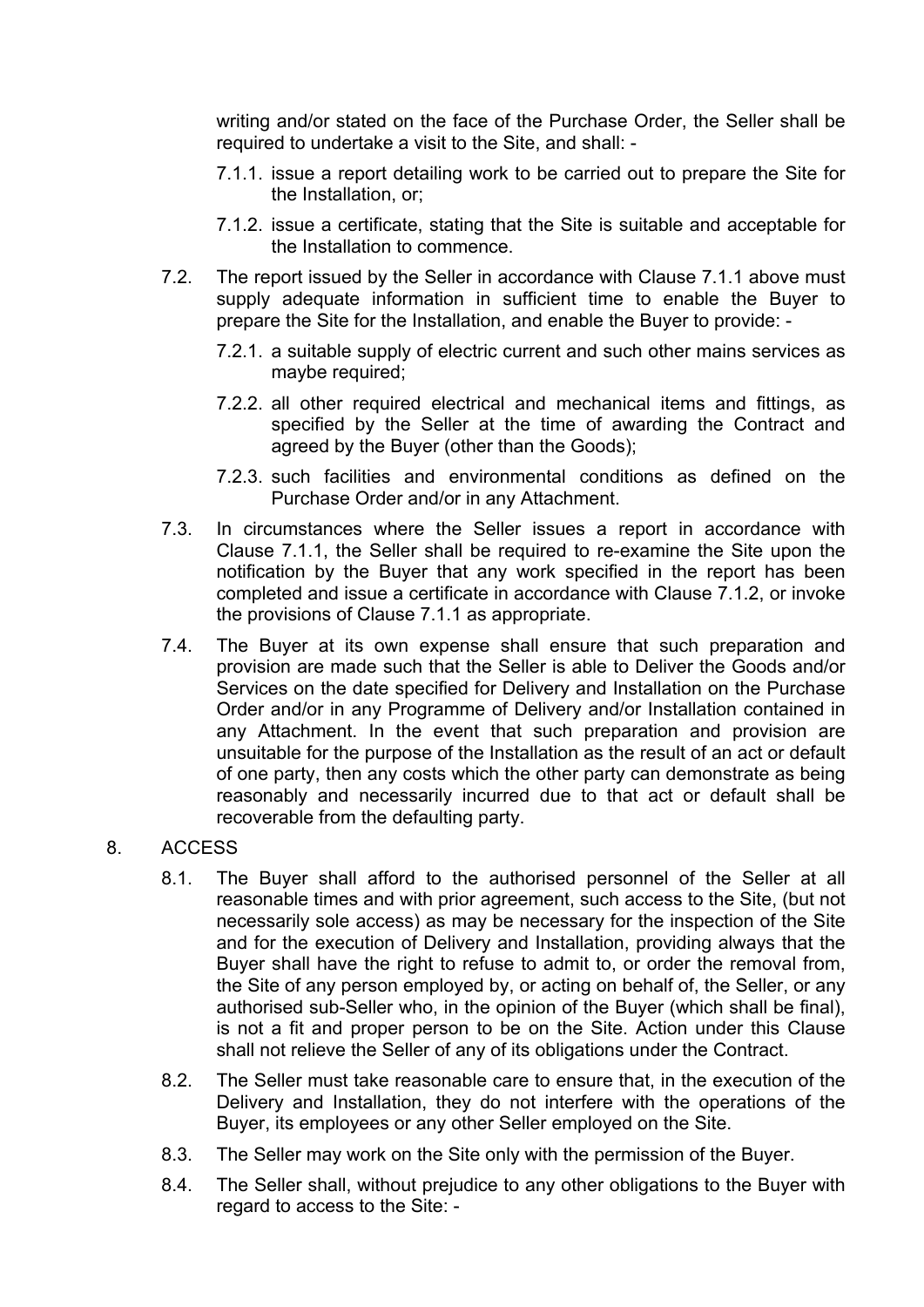writing and/or stated on the face of the Purchase Order, the Seller shall be required to undertake a visit to the Site, and shall: -

- 7.1.1. issue a report detailing work to be carried out to prepare the Site for the Installation, or;
- 7.1.2. issue a certificate, stating that the Site is suitable and acceptable for the Installation to commence.
- 7.2. The report issued by the Seller in accordance with Clause 7.1.1 above must supply adequate information in sufficient time to enable the Buyer to prepare the Site for the Installation, and enable the Buyer to provide: -
	- 7.2.1. a suitable supply of electric current and such other mains services as maybe required;
	- 7.2.2. all other required electrical and mechanical items and fittings, as specified by the Seller at the time of awarding the Contract and agreed by the Buyer (other than the Goods);
	- 7.2.3. such facilities and environmental conditions as defined on the Purchase Order and/or in any Attachment.
- 7.3. In circumstances where the Seller issues a report in accordance with Clause 7.1.1, the Seller shall be required to re-examine the Site upon the notification by the Buyer that any work specified in the report has been completed and issue a certificate in accordance with Clause 7.1.2, or invoke the provisions of Clause 7.1.1 as appropriate.
- 7.4. The Buyer at its own expense shall ensure that such preparation and provision are made such that the Seller is able to Deliver the Goods and/or Services on the date specified for Delivery and Installation on the Purchase Order and/or in any Programme of Delivery and/or Installation contained in any Attachment. In the event that such preparation and provision are unsuitable for the purpose of the Installation as the result of an act or default of one party, then any costs which the other party can demonstrate as being reasonably and necessarily incurred due to that act or default shall be recoverable from the defaulting party.

## 8. ACCESS

- 8.1. The Buyer shall afford to the authorised personnel of the Seller at all reasonable times and with prior agreement, such access to the Site, (but not necessarily sole access) as may be necessary for the inspection of the Site and for the execution of Delivery and Installation, providing always that the Buyer shall have the right to refuse to admit to, or order the removal from, the Site of any person employed by, or acting on behalf of, the Seller, or any authorised sub-Seller who, in the opinion of the Buyer (which shall be final), is not a fit and proper person to be on the Site. Action under this Clause shall not relieve the Seller of any of its obligations under the Contract.
- 8.2. The Seller must take reasonable care to ensure that, in the execution of the Delivery and Installation, they do not interfere with the operations of the Buyer, its employees or any other Seller employed on the Site.
- 8.3. The Seller may work on the Site only with the permission of the Buyer.
- 8.4. The Seller shall, without prejudice to any other obligations to the Buyer with regard to access to the Site: -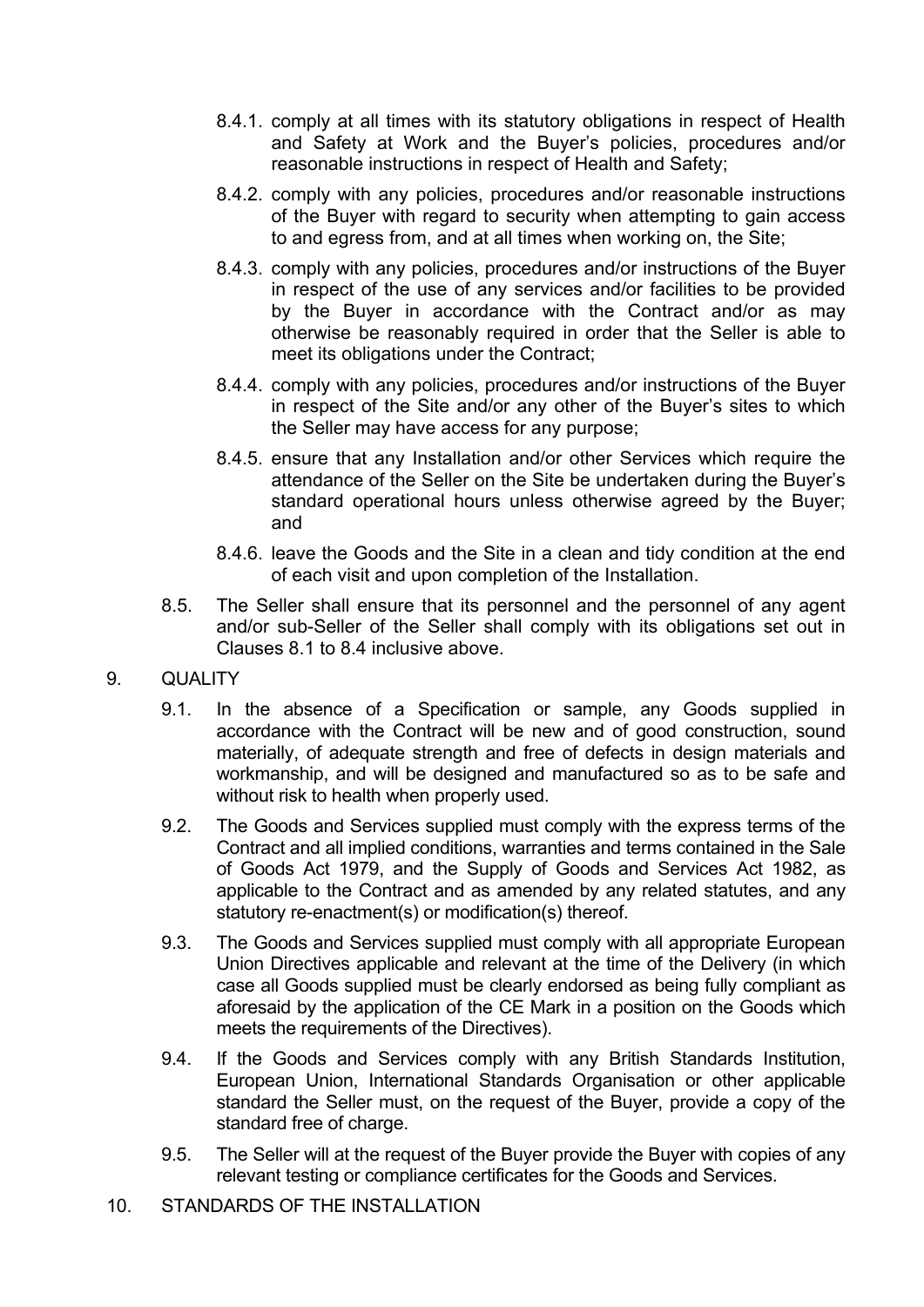- 8.4.1. comply at all times with its statutory obligations in respect of Health and Safety at Work and the Buyer's policies, procedures and/or reasonable instructions in respect of Health and Safety;
- 8.4.2. comply with any policies, procedures and/or reasonable instructions of the Buyer with regard to security when attempting to gain access to and egress from, and at all times when working on, the Site;
- 8.4.3. comply with any policies, procedures and/or instructions of the Buyer in respect of the use of any services and/or facilities to be provided by the Buyer in accordance with the Contract and/or as may otherwise be reasonably required in order that the Seller is able to meet its obligations under the Contract;
- 8.4.4. comply with any policies, procedures and/or instructions of the Buyer in respect of the Site and/or any other of the Buyer's sites to which the Seller may have access for any purpose;
- 8.4.5. ensure that any Installation and/or other Services which require the attendance of the Seller on the Site be undertaken during the Buyer's standard operational hours unless otherwise agreed by the Buyer; and
- 8.4.6. leave the Goods and the Site in a clean and tidy condition at the end of each visit and upon completion of the Installation.
- 8.5. The Seller shall ensure that its personnel and the personnel of any agent and/or sub-Seller of the Seller shall comply with its obligations set out in Clauses 8.1 to 8.4 inclusive above.
- 9. QUALITY
	- 9.1. In the absence of a Specification or sample, any Goods supplied in accordance with the Contract will be new and of good construction, sound materially, of adequate strength and free of defects in design materials and workmanship, and will be designed and manufactured so as to be safe and without risk to health when properly used.
	- 9.2. The Goods and Services supplied must comply with the express terms of the Contract and all implied conditions, warranties and terms contained in the Sale of Goods Act 1979, and the Supply of Goods and Services Act 1982, as applicable to the Contract and as amended by any related statutes, and any statutory re-enactment(s) or modification(s) thereof.
	- 9.3. The Goods and Services supplied must comply with all appropriate European Union Directives applicable and relevant at the time of the Delivery (in which case all Goods supplied must be clearly endorsed as being fully compliant as aforesaid by the application of the CE Mark in a position on the Goods which meets the requirements of the Directives).
	- 9.4. If the Goods and Services comply with any British Standards Institution, European Union, International Standards Organisation or other applicable standard the Seller must, on the request of the Buyer, provide a copy of the standard free of charge.
	- 9.5. The Seller will at the request of the Buyer provide the Buyer with copies of any relevant testing or compliance certificates for the Goods and Services.
- 10. STANDARDS OF THE INSTALLATION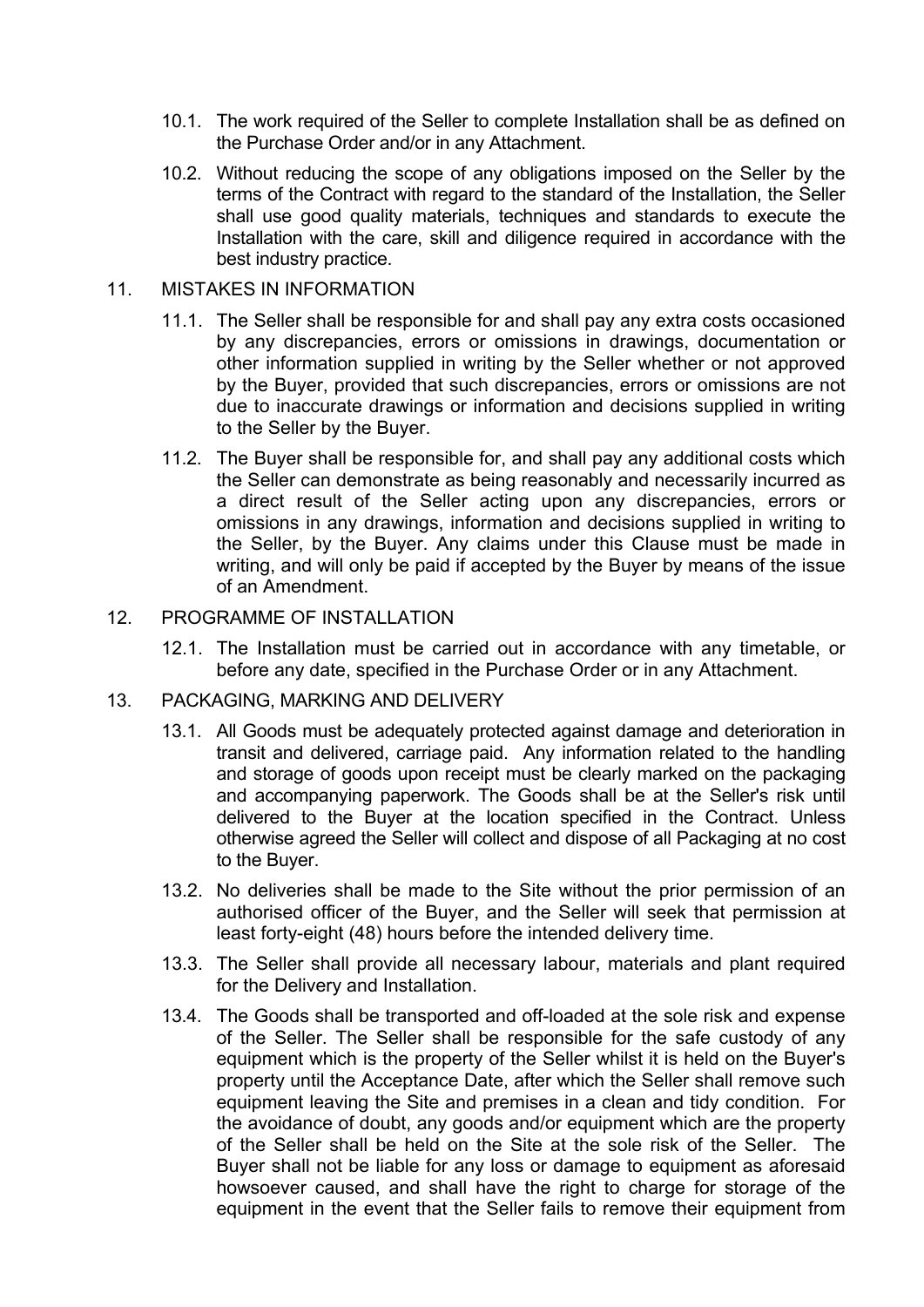- 10.1. The work required of the Seller to complete Installation shall be as defined on the Purchase Order and/or in any Attachment.
- 10.2. Without reducing the scope of any obligations imposed on the Seller by the terms of the Contract with regard to the standard of the Installation, the Seller shall use good quality materials, techniques and standards to execute the Installation with the care, skill and diligence required in accordance with the best industry practice.

#### 11. MISTAKES IN INFORMATION

- 11.1. The Seller shall be responsible for and shall pay any extra costs occasioned by any discrepancies, errors or omissions in drawings, documentation or other information supplied in writing by the Seller whether or not approved by the Buyer, provided that such discrepancies, errors or omissions are not due to inaccurate drawings or information and decisions supplied in writing to the Seller by the Buyer.
- 11.2. The Buyer shall be responsible for, and shall pay any additional costs which the Seller can demonstrate as being reasonably and necessarily incurred as a direct result of the Seller acting upon any discrepancies, errors or omissions in any drawings, information and decisions supplied in writing to the Seller, by the Buyer. Any claims under this Clause must be made in writing, and will only be paid if accepted by the Buyer by means of the issue of an Amendment.

#### 12. PROGRAMME OF INSTALLATION

12.1. The Installation must be carried out in accordance with any timetable, or before any date, specified in the Purchase Order or in any Attachment.

#### 13. PACKAGING, MARKING AND DELIVERY

- 13.1. All Goods must be adequately protected against damage and deterioration in transit and delivered, carriage paid. Any information related to the handling and storage of goods upon receipt must be clearly marked on the packaging and accompanying paperwork. The Goods shall be at the Seller's risk until delivered to the Buyer at the location specified in the Contract. Unless otherwise agreed the Seller will collect and dispose of all Packaging at no cost to the Buyer.
- 13.2. No deliveries shall be made to the Site without the prior permission of an authorised officer of the Buyer, and the Seller will seek that permission at least forty-eight (48) hours before the intended delivery time.
- 13.3. The Seller shall provide all necessary labour, materials and plant required for the Delivery and Installation.
- 13.4. The Goods shall be transported and off-loaded at the sole risk and expense of the Seller. The Seller shall be responsible for the safe custody of any equipment which is the property of the Seller whilst it is held on the Buyer's property until the Acceptance Date, after which the Seller shall remove such equipment leaving the Site and premises in a clean and tidy condition. For the avoidance of doubt, any goods and/or equipment which are the property of the Seller shall be held on the Site at the sole risk of the Seller. The Buyer shall not be liable for any loss or damage to equipment as aforesaid howsoever caused, and shall have the right to charge for storage of the equipment in the event that the Seller fails to remove their equipment from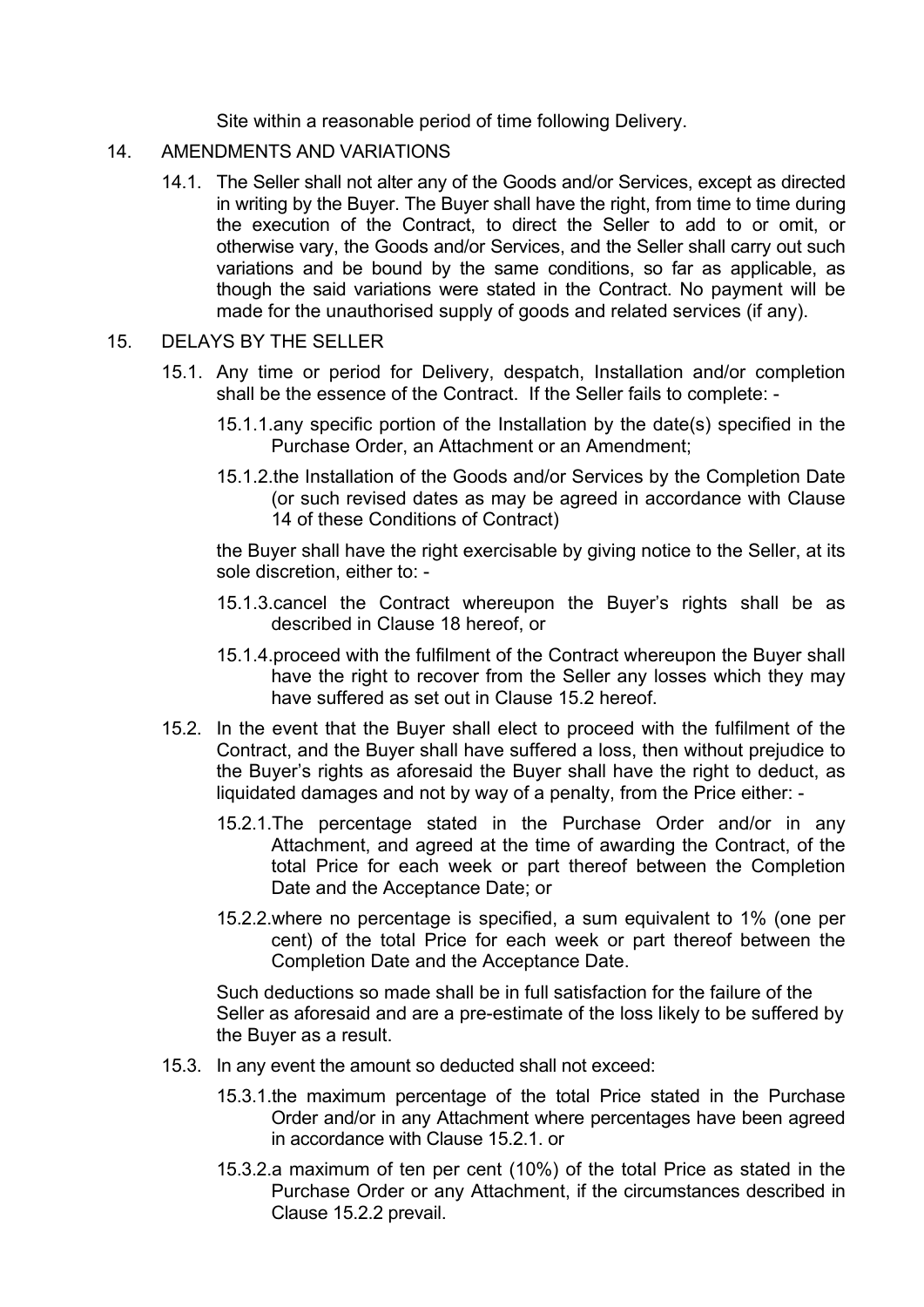Site within a reasonable period of time following Delivery.

- 14. AMENDMENTS AND VARIATIONS
	- 14.1. The Seller shall not alter any of the Goods and/or Services, except as directed in writing by the Buyer. The Buyer shall have the right, from time to time during the execution of the Contract, to direct the Seller to add to or omit, or otherwise vary, the Goods and/or Services, and the Seller shall carry out such variations and be bound by the same conditions, so far as applicable, as though the said variations were stated in the Contract. No payment will be made for the unauthorised supply of goods and related services (if any).

#### 15. DELAYS BY THE SELLER

- 15.1. Any time or period for Delivery, despatch, Installation and/or completion shall be the essence of the Contract. If the Seller fails to complete: -
	- 15.1.1.any specific portion of the Installation by the date(s) specified in the Purchase Order, an Attachment or an Amendment;
	- 15.1.2.the Installation of the Goods and/or Services by the Completion Date (or such revised dates as may be agreed in accordance with Clause 14 of these Conditions of Contract)

the Buyer shall have the right exercisable by giving notice to the Seller, at its sole discretion, either to: -

- 15.1.3.cancel the Contract whereupon the Buyer's rights shall be as described in Clause 18 hereof, or
- 15.1.4.proceed with the fulfilment of the Contract whereupon the Buyer shall have the right to recover from the Seller any losses which they may have suffered as set out in Clause 15.2 hereof.
- 15.2. In the event that the Buyer shall elect to proceed with the fulfilment of the Contract, and the Buyer shall have suffered a loss, then without prejudice to the Buyer's rights as aforesaid the Buyer shall have the right to deduct, as liquidated damages and not by way of a penalty, from the Price either: -
	- 15.2.1.The percentage stated in the Purchase Order and/or in any Attachment, and agreed at the time of awarding the Contract, of the total Price for each week or part thereof between the Completion Date and the Acceptance Date; or
	- 15.2.2.where no percentage is specified, a sum equivalent to 1% (one per cent) of the total Price for each week or part thereof between the Completion Date and the Acceptance Date.

Such deductions so made shall be in full satisfaction for the failure of the Seller as aforesaid and are a pre-estimate of the loss likely to be suffered by the Buyer as a result.

- 15.3. In any event the amount so deducted shall not exceed:
	- 15.3.1.the maximum percentage of the total Price stated in the Purchase Order and/or in any Attachment where percentages have been agreed in accordance with Clause 15.2.1. or
	- 15.3.2.a maximum of ten per cent (10%) of the total Price as stated in the Purchase Order or any Attachment, if the circumstances described in Clause 15.2.2 prevail.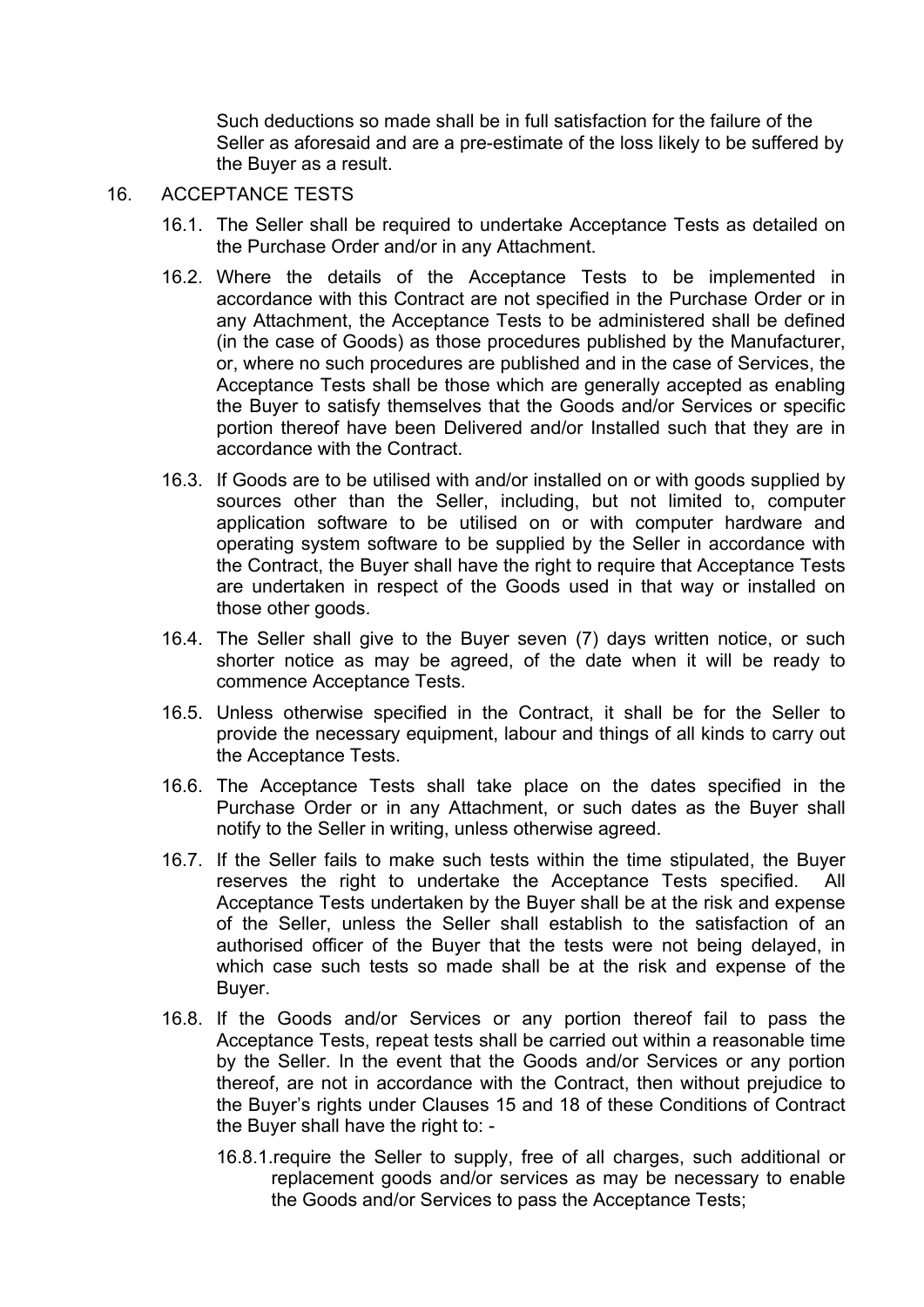Such deductions so made shall be in full satisfaction for the failure of the Seller as aforesaid and are a pre-estimate of the loss likely to be suffered by the Buyer as a result.

- 16. ACCEPTANCE TESTS
	- 16.1. The Seller shall be required to undertake Acceptance Tests as detailed on the Purchase Order and/or in any Attachment.
	- 16.2. Where the details of the Acceptance Tests to be implemented in accordance with this Contract are not specified in the Purchase Order or in any Attachment, the Acceptance Tests to be administered shall be defined (in the case of Goods) as those procedures published by the Manufacturer, or, where no such procedures are published and in the case of Services, the Acceptance Tests shall be those which are generally accepted as enabling the Buyer to satisfy themselves that the Goods and/or Services or specific portion thereof have been Delivered and/or Installed such that they are in accordance with the Contract.
	- 16.3. If Goods are to be utilised with and/or installed on or with goods supplied by sources other than the Seller, including, but not limited to, computer application software to be utilised on or with computer hardware and operating system software to be supplied by the Seller in accordance with the Contract, the Buyer shall have the right to require that Acceptance Tests are undertaken in respect of the Goods used in that way or installed on those other goods.
	- 16.4. The Seller shall give to the Buyer seven (7) days written notice, or such shorter notice as may be agreed, of the date when it will be ready to commence Acceptance Tests.
	- 16.5. Unless otherwise specified in the Contract, it shall be for the Seller to provide the necessary equipment, labour and things of all kinds to carry out the Acceptance Tests.
	- 16.6. The Acceptance Tests shall take place on the dates specified in the Purchase Order or in any Attachment, or such dates as the Buyer shall notify to the Seller in writing, unless otherwise agreed.
	- 16.7. If the Seller fails to make such tests within the time stipulated, the Buyer reserves the right to undertake the Acceptance Tests specified. All Acceptance Tests undertaken by the Buyer shall be at the risk and expense of the Seller, unless the Seller shall establish to the satisfaction of an authorised officer of the Buyer that the tests were not being delayed, in which case such tests so made shall be at the risk and expense of the Buyer.
	- 16.8. If the Goods and/or Services or any portion thereof fail to pass the Acceptance Tests, repeat tests shall be carried out within a reasonable time by the Seller. In the event that the Goods and/or Services or any portion thereof, are not in accordance with the Contract, then without prejudice to the Buyer's rights under Clauses 15 and 18 of these Conditions of Contract the Buyer shall have the right to: -
		- 16.8.1.require the Seller to supply, free of all charges, such additional or replacement goods and/or services as may be necessary to enable the Goods and/or Services to pass the Acceptance Tests;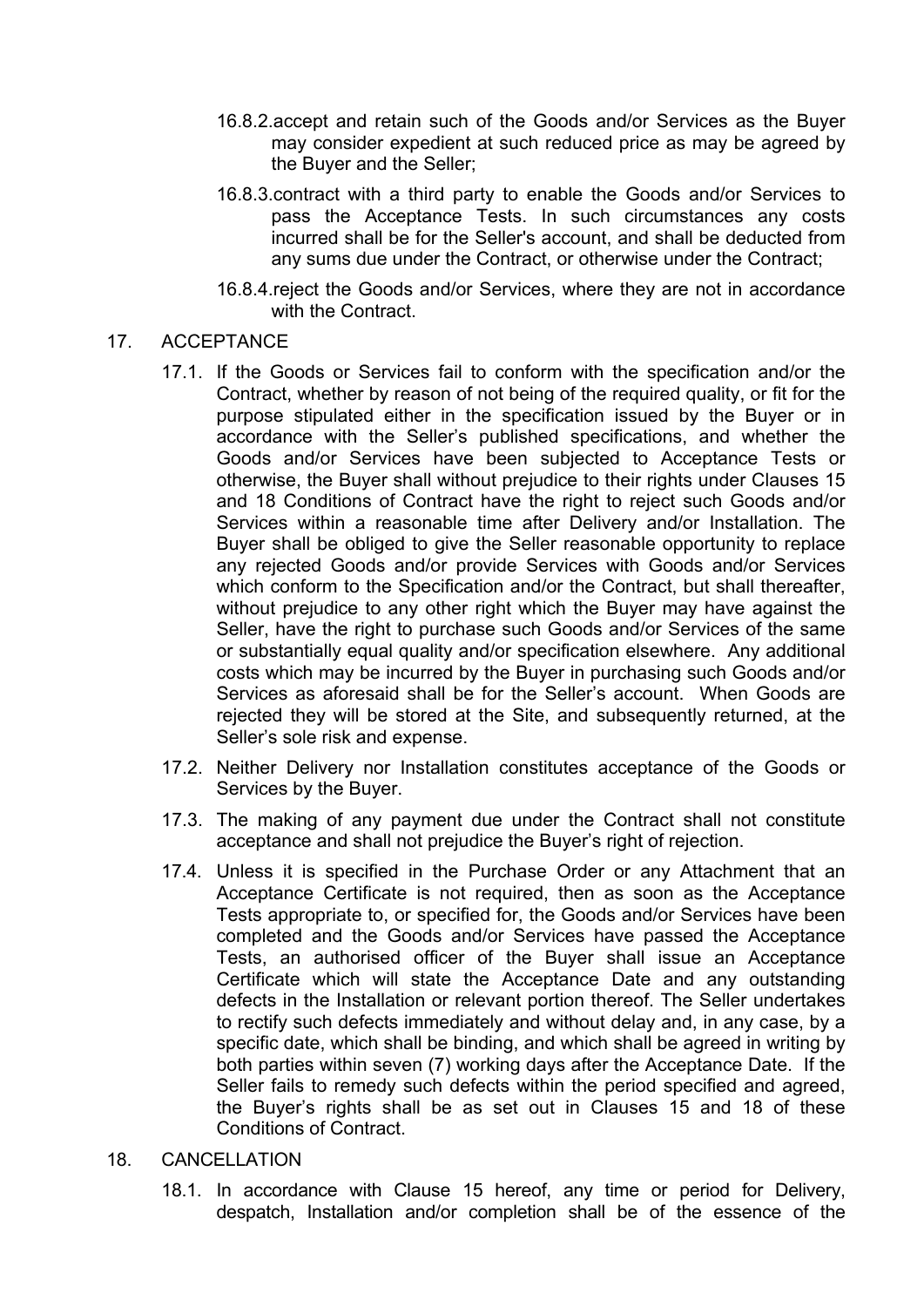- 16.8.2.accept and retain such of the Goods and/or Services as the Buyer may consider expedient at such reduced price as may be agreed by the Buyer and the Seller;
- 16.8.3.contract with a third party to enable the Goods and/or Services to pass the Acceptance Tests. In such circumstances any costs incurred shall be for the Seller's account, and shall be deducted from any sums due under the Contract, or otherwise under the Contract;
- 16.8.4.reject the Goods and/or Services, where they are not in accordance with the Contract.

## 17. ACCEPTANCE

- 17.1. If the Goods or Services fail to conform with the specification and/or the Contract, whether by reason of not being of the required quality, or fit for the purpose stipulated either in the specification issued by the Buyer or in accordance with the Seller's published specifications, and whether the Goods and/or Services have been subjected to Acceptance Tests or otherwise, the Buyer shall without prejudice to their rights under Clauses 15 and 18 Conditions of Contract have the right to reject such Goods and/or Services within a reasonable time after Delivery and/or Installation. The Buyer shall be obliged to give the Seller reasonable opportunity to replace any rejected Goods and/or provide Services with Goods and/or Services which conform to the Specification and/or the Contract, but shall thereafter, without prejudice to any other right which the Buyer may have against the Seller, have the right to purchase such Goods and/or Services of the same or substantially equal quality and/or specification elsewhere. Any additional costs which may be incurred by the Buyer in purchasing such Goods and/or Services as aforesaid shall be for the Seller's account. When Goods are rejected they will be stored at the Site, and subsequently returned, at the Seller's sole risk and expense.
- 17.2. Neither Delivery nor Installation constitutes acceptance of the Goods or Services by the Buyer.
- 17.3. The making of any payment due under the Contract shall not constitute acceptance and shall not prejudice the Buyer's right of rejection.
- 17.4. Unless it is specified in the Purchase Order or any Attachment that an Acceptance Certificate is not required, then as soon as the Acceptance Tests appropriate to, or specified for, the Goods and/or Services have been completed and the Goods and/or Services have passed the Acceptance Tests, an authorised officer of the Buyer shall issue an Acceptance Certificate which will state the Acceptance Date and any outstanding defects in the Installation or relevant portion thereof. The Seller undertakes to rectify such defects immediately and without delay and, in any case, by a specific date, which shall be binding, and which shall be agreed in writing by both parties within seven (7) working days after the Acceptance Date. If the Seller fails to remedy such defects within the period specified and agreed, the Buyer's rights shall be as set out in Clauses 15 and 18 of these Conditions of Contract.

## 18. CANCELLATION

18.1. In accordance with Clause 15 hereof, any time or period for Delivery, despatch, Installation and/or completion shall be of the essence of the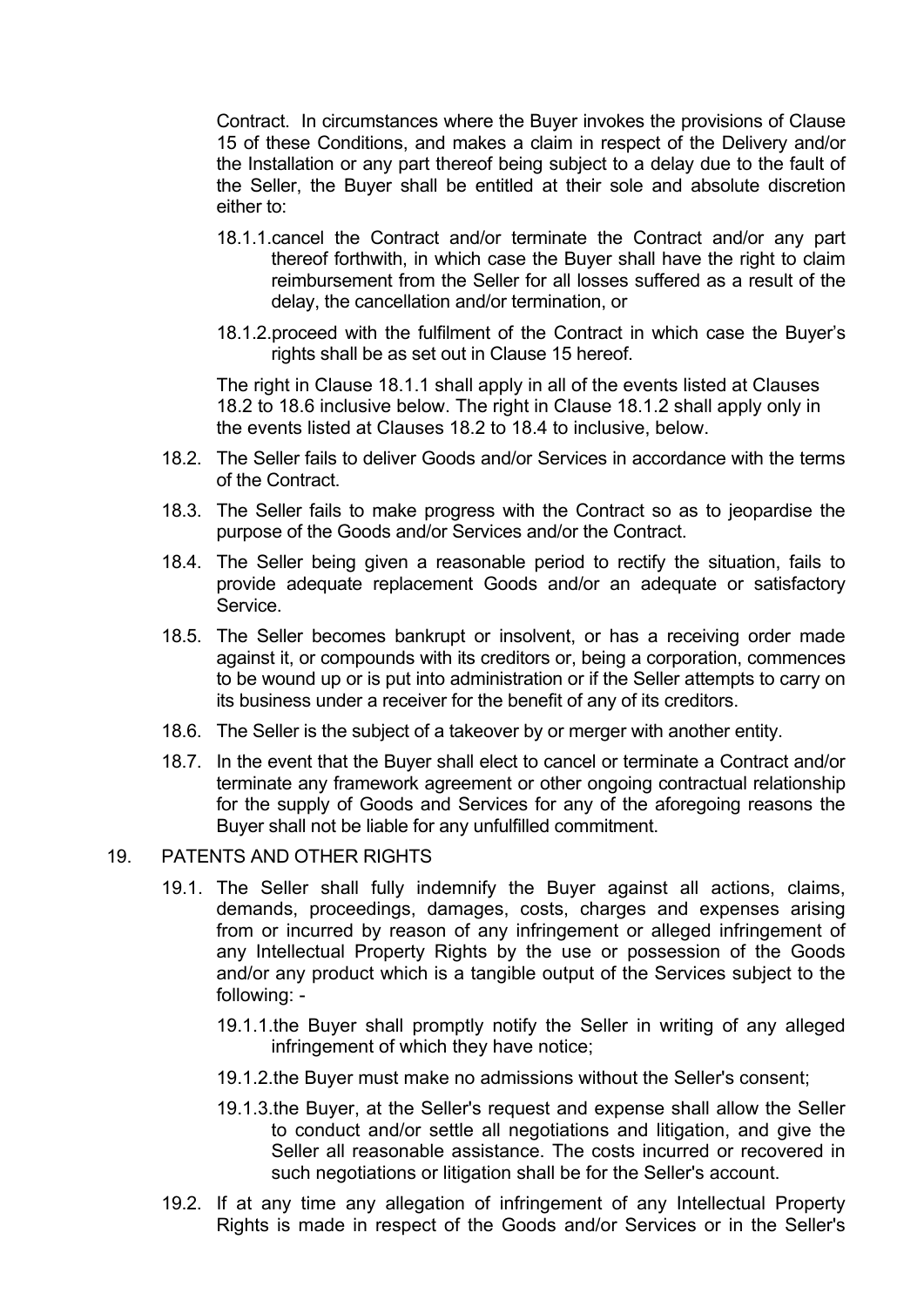Contract. In circumstances where the Buyer invokes the provisions of Clause 15 of these Conditions, and makes a claim in respect of the Delivery and/or the Installation or any part thereof being subject to a delay due to the fault of the Seller, the Buyer shall be entitled at their sole and absolute discretion either to:

- 18.1.1.cancel the Contract and/or terminate the Contract and/or any part thereof forthwith, in which case the Buyer shall have the right to claim reimbursement from the Seller for all losses suffered as a result of the delay, the cancellation and/or termination, or
- 18.1.2.proceed with the fulfilment of the Contract in which case the Buyer's rights shall be as set out in Clause 15 hereof.

The right in Clause 18.1.1 shall apply in all of the events listed at Clauses 18.2 to 18.6 inclusive below. The right in Clause 18.1.2 shall apply only in the events listed at Clauses 18.2 to 18.4 to inclusive, below.

- 18.2. The Seller fails to deliver Goods and/or Services in accordance with the terms of the Contract.
- 18.3. The Seller fails to make progress with the Contract so as to jeopardise the purpose of the Goods and/or Services and/or the Contract.
- 18.4. The Seller being given a reasonable period to rectify the situation, fails to provide adequate replacement Goods and/or an adequate or satisfactory Service.
- 18.5. The Seller becomes bankrupt or insolvent, or has a receiving order made against it, or compounds with its creditors or, being a corporation, commences to be wound up or is put into administration or if the Seller attempts to carry on its business under a receiver for the benefit of any of its creditors.
- 18.6. The Seller is the subject of a takeover by or merger with another entity.
- 18.7. In the event that the Buyer shall elect to cancel or terminate a Contract and/or terminate any framework agreement or other ongoing contractual relationship for the supply of Goods and Services for any of the aforegoing reasons the Buyer shall not be liable for any unfulfilled commitment.

#### 19. PATENTS AND OTHER RIGHTS

- 19.1. The Seller shall fully indemnify the Buyer against all actions, claims, demands, proceedings, damages, costs, charges and expenses arising from or incurred by reason of any infringement or alleged infringement of any Intellectual Property Rights by the use or possession of the Goods and/or any product which is a tangible output of the Services subject to the following: -
	- 19.1.1.the Buyer shall promptly notify the Seller in writing of any alleged infringement of which they have notice;
	- 19.1.2.the Buyer must make no admissions without the Seller's consent;
	- 19.1.3.the Buyer, at the Seller's request and expense shall allow the Seller to conduct and/or settle all negotiations and litigation, and give the Seller all reasonable assistance. The costs incurred or recovered in such negotiations or litigation shall be for the Seller's account.
- 19.2. If at any time any allegation of infringement of any Intellectual Property Rights is made in respect of the Goods and/or Services or in the Seller's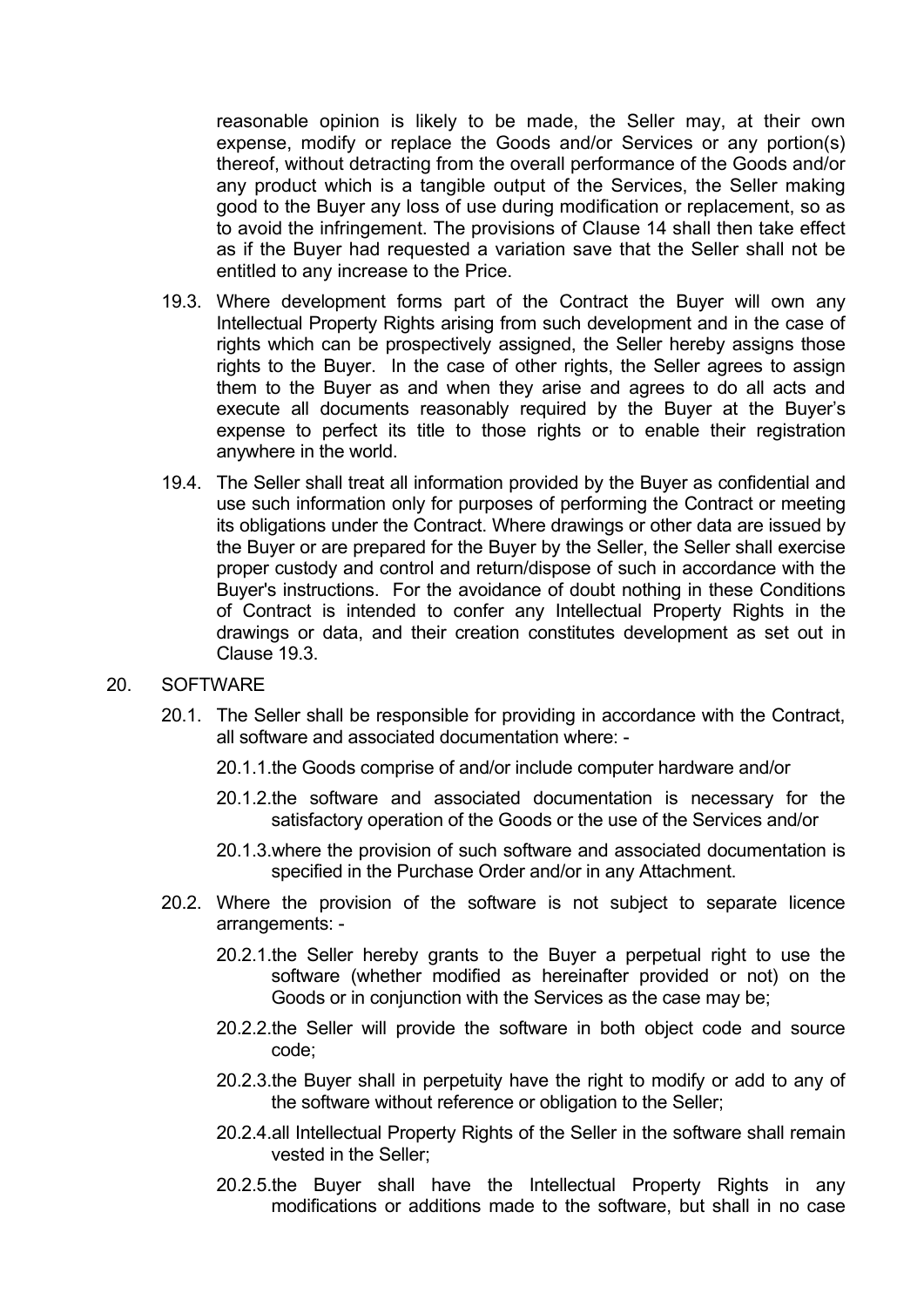reasonable opinion is likely to be made, the Seller may, at their own expense, modify or replace the Goods and/or Services or any portion(s) thereof, without detracting from the overall performance of the Goods and/or any product which is a tangible output of the Services, the Seller making good to the Buyer any loss of use during modification or replacement, so as to avoid the infringement. The provisions of Clause 14 shall then take effect as if the Buyer had requested a variation save that the Seller shall not be entitled to any increase to the Price.

- 19.3. Where development forms part of the Contract the Buyer will own any Intellectual Property Rights arising from such development and in the case of rights which can be prospectively assigned, the Seller hereby assigns those rights to the Buyer. In the case of other rights, the Seller agrees to assign them to the Buyer as and when they arise and agrees to do all acts and execute all documents reasonably required by the Buyer at the Buyer's expense to perfect its title to those rights or to enable their registration anywhere in the world.
- 19.4. The Seller shall treat all information provided by the Buyer as confidential and use such information only for purposes of performing the Contract or meeting its obligations under the Contract. Where drawings or other data are issued by the Buyer or are prepared for the Buyer by the Seller, the Seller shall exercise proper custody and control and return/dispose of such in accordance with the Buyer's instructions. For the avoidance of doubt nothing in these Conditions of Contract is intended to confer any Intellectual Property Rights in the drawings or data, and their creation constitutes development as set out in Clause 19.3.

#### 20. SOFTWARE

- 20.1. The Seller shall be responsible for providing in accordance with the Contract, all software and associated documentation where: -
	- 20.1.1.the Goods comprise of and/or include computer hardware and/or
	- 20.1.2.the software and associated documentation is necessary for the satisfactory operation of the Goods or the use of the Services and/or
	- 20.1.3.where the provision of such software and associated documentation is specified in the Purchase Order and/or in any Attachment.
- 20.2. Where the provision of the software is not subject to separate licence arrangements: -
	- 20.2.1.the Seller hereby grants to the Buyer a perpetual right to use the software (whether modified as hereinafter provided or not) on the Goods or in conjunction with the Services as the case may be;
	- 20.2.2.the Seller will provide the software in both object code and source code;
	- 20.2.3.the Buyer shall in perpetuity have the right to modify or add to any of the software without reference or obligation to the Seller;
	- 20.2.4.all Intellectual Property Rights of the Seller in the software shall remain vested in the Seller;
	- 20.2.5.the Buyer shall have the Intellectual Property Rights in any modifications or additions made to the software, but shall in no case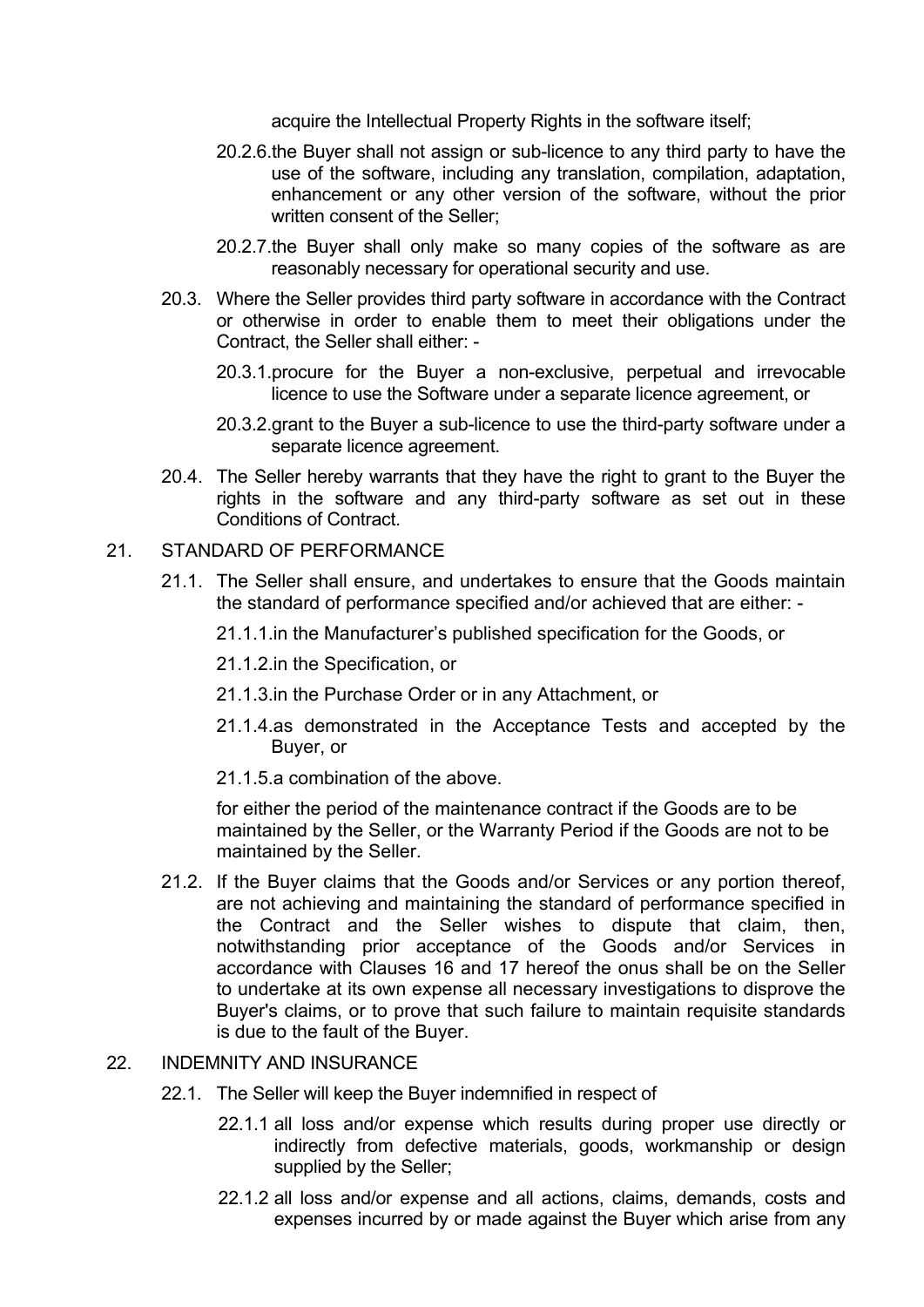acquire the Intellectual Property Rights in the software itself;

- 20.2.6.the Buyer shall not assign or sub-licence to any third party to have the use of the software, including any translation, compilation, adaptation, enhancement or any other version of the software, without the prior written consent of the Seller:
- 20.2.7.the Buyer shall only make so many copies of the software as are reasonably necessary for operational security and use.
- 20.3. Where the Seller provides third party software in accordance with the Contract or otherwise in order to enable them to meet their obligations under the Contract, the Seller shall either: -
	- 20.3.1.procure for the Buyer a non-exclusive, perpetual and irrevocable licence to use the Software under a separate licence agreement, or
	- 20.3.2.grant to the Buyer a sub-licence to use the third-party software under a separate licence agreement.
- 20.4. The Seller hereby warrants that they have the right to grant to the Buyer the rights in the software and any third-party software as set out in these Conditions of Contract.

#### 21. STANDARD OF PERFORMANCE

- 21.1. The Seller shall ensure, and undertakes to ensure that the Goods maintain the standard of performance specified and/or achieved that are either: -
	- 21.1.1.in the Manufacturer's published specification for the Goods, or
	- 21.1.2.in the Specification, or
	- 21.1.3.in the Purchase Order or in any Attachment, or
	- 21.1.4.as demonstrated in the Acceptance Tests and accepted by the Buyer, or
	- 21.1.5.a combination of the above.

for either the period of the maintenance contract if the Goods are to be maintained by the Seller, or the Warranty Period if the Goods are not to be maintained by the Seller.

21.2. If the Buyer claims that the Goods and/or Services or any portion thereof, are not achieving and maintaining the standard of performance specified in the Contract and the Seller wishes to dispute that claim, then, notwithstanding prior acceptance of the Goods and/or Services in accordance with Clauses 16 and 17 hereof the onus shall be on the Seller to undertake at its own expense all necessary investigations to disprove the Buyer's claims, or to prove that such failure to maintain requisite standards is due to the fault of the Buyer.

#### 22. INDEMNITY AND INSURANCE

- 22.1. The Seller will keep the Buyer indemnified in respect of
	- 22.1.1 all loss and/or expense which results during proper use directly or indirectly from defective materials, goods, workmanship or design supplied by the Seller:
	- 22.1.2 all loss and/or expense and all actions, claims, demands, costs and expenses incurred by or made against the Buyer which arise from any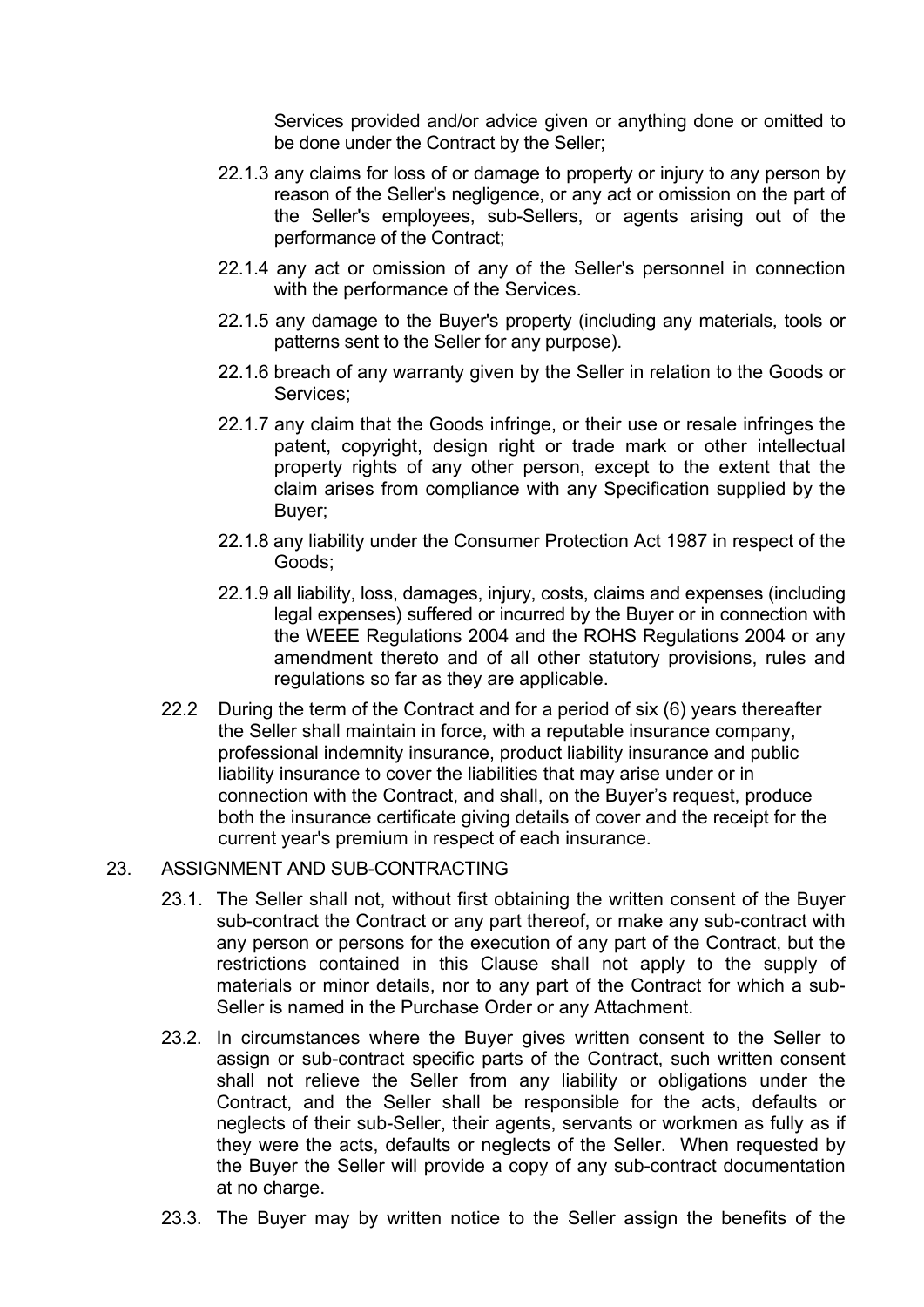Services provided and/or advice given or anything done or omitted to be done under the Contract by the Seller;

- 22.1.3 any claims for loss of or damage to property or injury to any person by reason of the Seller's negligence, or any act or omission on the part of the Seller's employees, sub-Sellers, or agents arising out of the performance of the Contract;
- 22.1.4 any act or omission of any of the Seller's personnel in connection with the performance of the Services.
- 22.1.5 any damage to the Buyer's property (including any materials, tools or patterns sent to the Seller for any purpose).
- 22.1.6 breach of any warranty given by the Seller in relation to the Goods or Services;
- 22.1.7 any claim that the Goods infringe, or their use or resale infringes the patent, copyright, design right or trade mark or other intellectual property rights of any other person, except to the extent that the claim arises from compliance with any Specification supplied by the Buyer;
- 22.1.8 any liability under the Consumer Protection Act 1987 in respect of the Goods;
- 22.1.9 all liability, loss, damages, injury, costs, claims and expenses (including legal expenses) suffered or incurred by the Buyer or in connection with the WEEE Regulations 2004 and the ROHS Regulations 2004 or any amendment thereto and of all other statutory provisions, rules and regulations so far as they are applicable.
- 22.2 During the term of the Contract and for a period of six (6) years thereafter the Seller shall maintain in force, with a reputable insurance company, professional indemnity insurance, product liability insurance and public liability insurance to cover the liabilities that may arise under or in connection with the Contract, and shall, on the Buyer's request, produce both the insurance certificate giving details of cover and the receipt for the current year's premium in respect of each insurance.

#### 23. ASSIGNMENT AND SUB-CONTRACTING

- 23.1. The Seller shall not, without first obtaining the written consent of the Buyer sub-contract the Contract or any part thereof, or make any sub-contract with any person or persons for the execution of any part of the Contract, but the restrictions contained in this Clause shall not apply to the supply of materials or minor details, nor to any part of the Contract for which a sub-Seller is named in the Purchase Order or any Attachment.
- 23.2. In circumstances where the Buyer gives written consent to the Seller to assign or sub-contract specific parts of the Contract, such written consent shall not relieve the Seller from any liability or obligations under the Contract, and the Seller shall be responsible for the acts, defaults or neglects of their sub-Seller, their agents, servants or workmen as fully as if they were the acts, defaults or neglects of the Seller. When requested by the Buyer the Seller will provide a copy of any sub-contract documentation at no charge.
- 23.3. The Buyer may by written notice to the Seller assign the benefits of the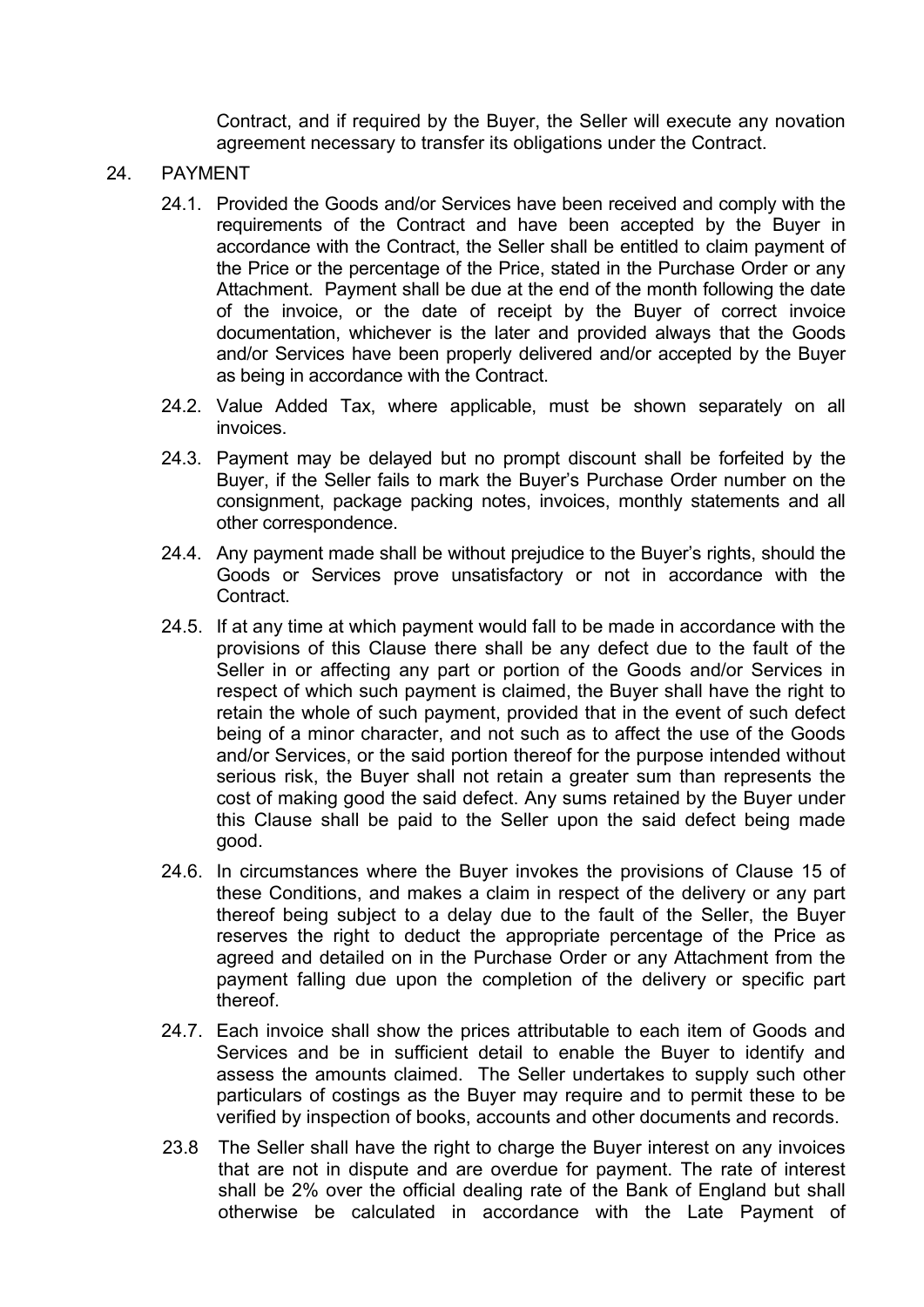Contract, and if required by the Buyer, the Seller will execute any novation agreement necessary to transfer its obligations under the Contract.

#### 24. PAYMENT

- 24.1. Provided the Goods and/or Services have been received and comply with the requirements of the Contract and have been accepted by the Buyer in accordance with the Contract, the Seller shall be entitled to claim payment of the Price or the percentage of the Price, stated in the Purchase Order or any Attachment. Payment shall be due at the end of the month following the date of the invoice, or the date of receipt by the Buyer of correct invoice documentation, whichever is the later and provided always that the Goods and/or Services have been properly delivered and/or accepted by the Buyer as being in accordance with the Contract.
- 24.2. Value Added Tax, where applicable, must be shown separately on all invoices.
- 24.3. Payment may be delayed but no prompt discount shall be forfeited by the Buyer, if the Seller fails to mark the Buyer's Purchase Order number on the consignment, package packing notes, invoices, monthly statements and all other correspondence.
- 24.4. Any payment made shall be without prejudice to the Buyer's rights, should the Goods or Services prove unsatisfactory or not in accordance with the Contract.
- 24.5. If at any time at which payment would fall to be made in accordance with the provisions of this Clause there shall be any defect due to the fault of the Seller in or affecting any part or portion of the Goods and/or Services in respect of which such payment is claimed, the Buyer shall have the right to retain the whole of such payment, provided that in the event of such defect being of a minor character, and not such as to affect the use of the Goods and/or Services, or the said portion thereof for the purpose intended without serious risk, the Buyer shall not retain a greater sum than represents the cost of making good the said defect. Any sums retained by the Buyer under this Clause shall be paid to the Seller upon the said defect being made good.
- 24.6. In circumstances where the Buyer invokes the provisions of Clause 15 of these Conditions, and makes a claim in respect of the delivery or any part thereof being subject to a delay due to the fault of the Seller, the Buyer reserves the right to deduct the appropriate percentage of the Price as agreed and detailed on in the Purchase Order or any Attachment from the payment falling due upon the completion of the delivery or specific part thereof.
- 24.7. Each invoice shall show the prices attributable to each item of Goods and Services and be in sufficient detail to enable the Buyer to identify and assess the amounts claimed. The Seller undertakes to supply such other particulars of costings as the Buyer may require and to permit these to be verified by inspection of books, accounts and other documents and records.
- 23.8 The Seller shall have the right to charge the Buyer interest on any invoices that are not in dispute and are overdue for payment. The rate of interest shall be 2% over the official dealing rate of the Bank of England but shall otherwise be calculated in accordance with the Late Payment of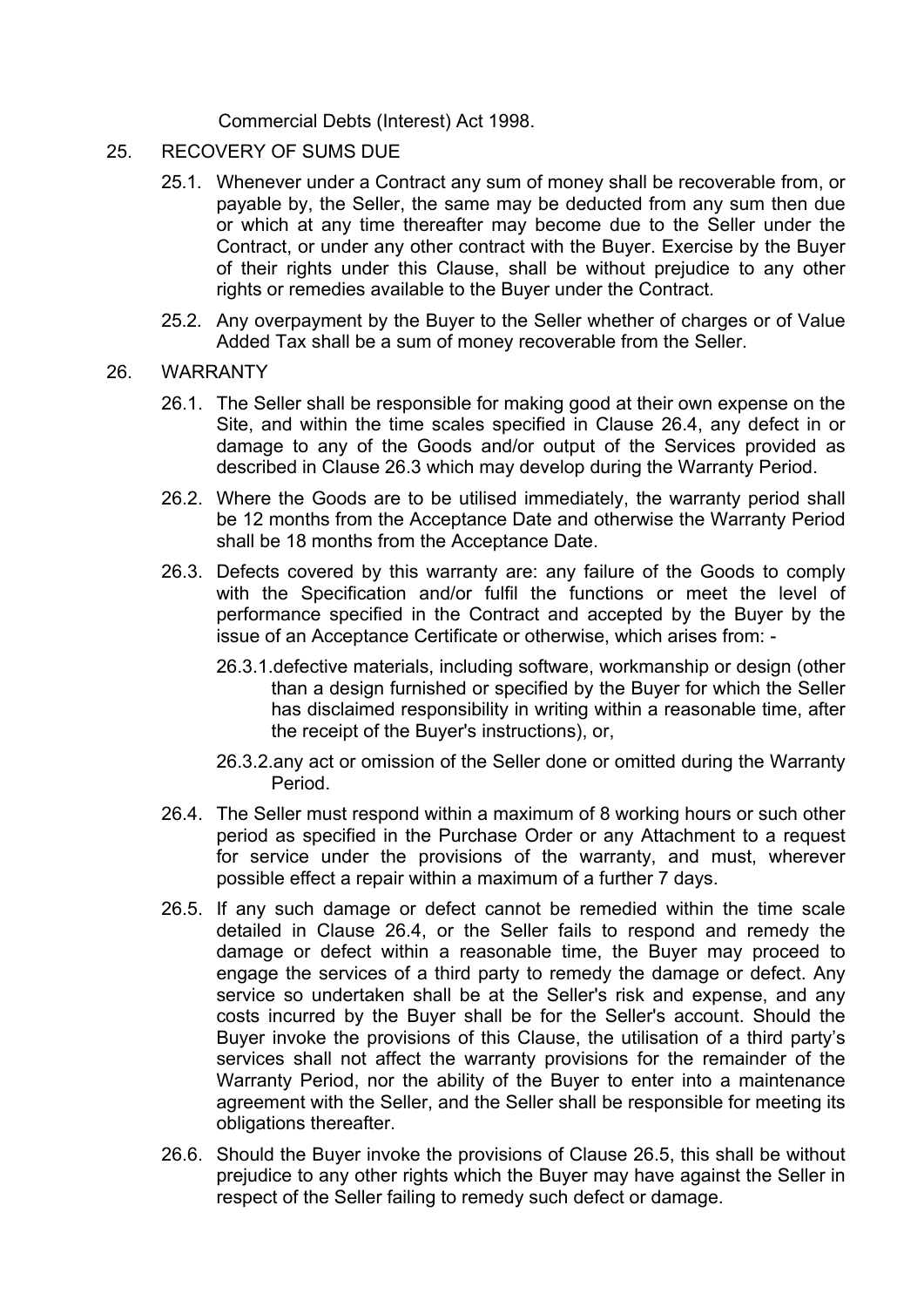Commercial Debts (Interest) Act 1998.

- 25. RECOVERY OF SUMS DUE
	- 25.1. Whenever under a Contract any sum of money shall be recoverable from, or payable by, the Seller, the same may be deducted from any sum then due or which at any time thereafter may become due to the Seller under the Contract, or under any other contract with the Buyer. Exercise by the Buyer of their rights under this Clause, shall be without prejudice to any other rights or remedies available to the Buyer under the Contract.
	- 25.2. Any overpayment by the Buyer to the Seller whether of charges or of Value Added Tax shall be a sum of money recoverable from the Seller.

#### 26. WARRANTY

- 26.1. The Seller shall be responsible for making good at their own expense on the Site, and within the time scales specified in Clause 26.4, any defect in or damage to any of the Goods and/or output of the Services provided as described in Clause 26.3 which may develop during the Warranty Period.
- 26.2. Where the Goods are to be utilised immediately, the warranty period shall be 12 months from the Acceptance Date and otherwise the Warranty Period shall be 18 months from the Acceptance Date.
- 26.3. Defects covered by this warranty are: any failure of the Goods to comply with the Specification and/or fulfil the functions or meet the level of performance specified in the Contract and accepted by the Buyer by the issue of an Acceptance Certificate or otherwise, which arises from: -
	- 26.3.1.defective materials, including software, workmanship or design (other than a design furnished or specified by the Buyer for which the Seller has disclaimed responsibility in writing within a reasonable time, after the receipt of the Buyer's instructions), or,
	- 26.3.2.any act or omission of the Seller done or omitted during the Warranty Period.
- 26.4. The Seller must respond within a maximum of 8 working hours or such other period as specified in the Purchase Order or any Attachment to a request for service under the provisions of the warranty, and must, wherever possible effect a repair within a maximum of a further 7 days.
- 26.5. If any such damage or defect cannot be remedied within the time scale detailed in Clause 26.4, or the Seller fails to respond and remedy the damage or defect within a reasonable time, the Buyer may proceed to engage the services of a third party to remedy the damage or defect. Any service so undertaken shall be at the Seller's risk and expense, and any costs incurred by the Buyer shall be for the Seller's account. Should the Buyer invoke the provisions of this Clause, the utilisation of a third party's services shall not affect the warranty provisions for the remainder of the Warranty Period, nor the ability of the Buyer to enter into a maintenance agreement with the Seller, and the Seller shall be responsible for meeting its obligations thereafter.
- 26.6. Should the Buyer invoke the provisions of Clause 26.5, this shall be without prejudice to any other rights which the Buyer may have against the Seller in respect of the Seller failing to remedy such defect or damage.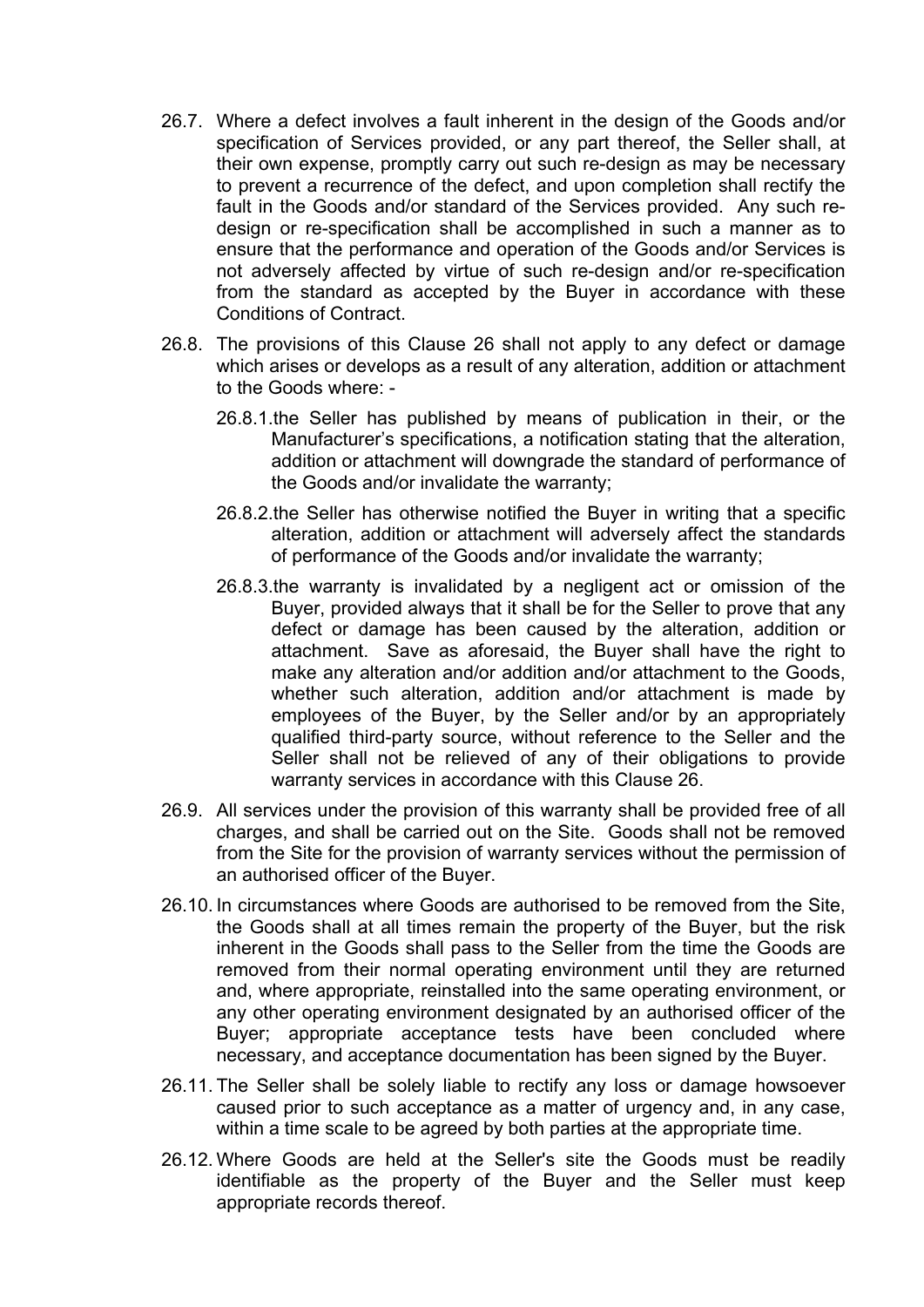- 26.7. Where a defect involves a fault inherent in the design of the Goods and/or specification of Services provided, or any part thereof, the Seller shall, at their own expense, promptly carry out such re-design as may be necessary to prevent a recurrence of the defect, and upon completion shall rectify the fault in the Goods and/or standard of the Services provided. Any such redesign or re-specification shall be accomplished in such a manner as to ensure that the performance and operation of the Goods and/or Services is not adversely affected by virtue of such re-design and/or re-specification from the standard as accepted by the Buyer in accordance with these Conditions of Contract.
- 26.8. The provisions of this Clause 26 shall not apply to any defect or damage which arises or develops as a result of any alteration, addition or attachment to the Goods where: -
	- 26.8.1.the Seller has published by means of publication in their, or the Manufacturer's specifications, a notification stating that the alteration, addition or attachment will downgrade the standard of performance of the Goods and/or invalidate the warranty;
	- 26.8.2.the Seller has otherwise notified the Buyer in writing that a specific alteration, addition or attachment will adversely affect the standards of performance of the Goods and/or invalidate the warranty;
	- 26.8.3.the warranty is invalidated by a negligent act or omission of the Buyer, provided always that it shall be for the Seller to prove that any defect or damage has been caused by the alteration, addition or attachment. Save as aforesaid, the Buyer shall have the right to make any alteration and/or addition and/or attachment to the Goods, whether such alteration, addition and/or attachment is made by employees of the Buyer, by the Seller and/or by an appropriately qualified third-party source, without reference to the Seller and the Seller shall not be relieved of any of their obligations to provide warranty services in accordance with this Clause 26.
- 26.9. All services under the provision of this warranty shall be provided free of all charges, and shall be carried out on the Site. Goods shall not be removed from the Site for the provision of warranty services without the permission of an authorised officer of the Buyer.
- 26.10. In circumstances where Goods are authorised to be removed from the Site, the Goods shall at all times remain the property of the Buyer, but the risk inherent in the Goods shall pass to the Seller from the time the Goods are removed from their normal operating environment until they are returned and, where appropriate, reinstalled into the same operating environment, or any other operating environment designated by an authorised officer of the Buyer; appropriate acceptance tests have been concluded where necessary, and acceptance documentation has been signed by the Buyer.
- 26.11. The Seller shall be solely liable to rectify any loss or damage howsoever caused prior to such acceptance as a matter of urgency and, in any case, within a time scale to be agreed by both parties at the appropriate time.
- 26.12. Where Goods are held at the Seller's site the Goods must be readily identifiable as the property of the Buyer and the Seller must keep appropriate records thereof.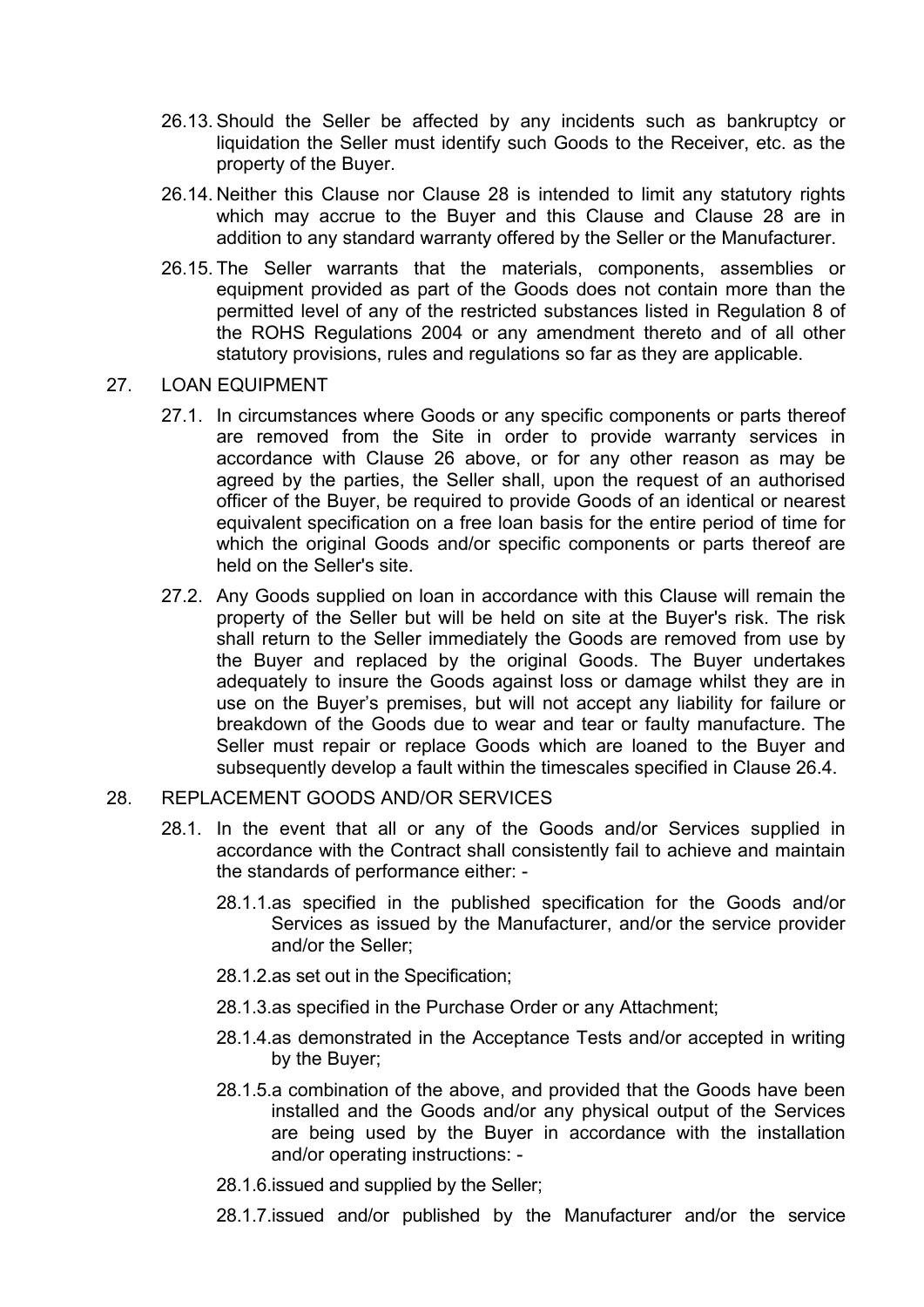- 26.13. Should the Seller be affected by any incidents such as bankruptcy or liquidation the Seller must identify such Goods to the Receiver, etc. as the property of the Buyer.
- 26.14. Neither this Clause nor Clause 28 is intended to limit any statutory rights which may accrue to the Buyer and this Clause and Clause 28 are in addition to any standard warranty offered by the Seller or the Manufacturer.
- 26.15. The Seller warrants that the materials, components, assemblies or equipment provided as part of the Goods does not contain more than the permitted level of any of the restricted substances listed in Regulation 8 of the ROHS Regulations 2004 or any amendment thereto and of all other statutory provisions, rules and regulations so far as they are applicable.

#### 27. LOAN EQUIPMENT

- 27.1. In circumstances where Goods or any specific components or parts thereof are removed from the Site in order to provide warranty services in accordance with Clause 26 above, or for any other reason as may be agreed by the parties, the Seller shall, upon the request of an authorised officer of the Buyer, be required to provide Goods of an identical or nearest equivalent specification on a free loan basis for the entire period of time for which the original Goods and/or specific components or parts thereof are held on the Seller's site.
- 27.2. Any Goods supplied on loan in accordance with this Clause will remain the property of the Seller but will be held on site at the Buyer's risk. The risk shall return to the Seller immediately the Goods are removed from use by the Buyer and replaced by the original Goods. The Buyer undertakes adequately to insure the Goods against loss or damage whilst they are in use on the Buyer's premises, but will not accept any liability for failure or breakdown of the Goods due to wear and tear or faulty manufacture. The Seller must repair or replace Goods which are loaned to the Buyer and subsequently develop a fault within the timescales specified in Clause 26.4.

## 28. REPLACEMENT GOODS AND/OR SERVICES

- 28.1. In the event that all or any of the Goods and/or Services supplied in accordance with the Contract shall consistently fail to achieve and maintain the standards of performance either: -
	- 28.1.1.as specified in the published specification for the Goods and/or Services as issued by the Manufacturer, and/or the service provider and/or the Seller;
	- 28.1.2.as set out in the Specification;
	- 28.1.3.as specified in the Purchase Order or any Attachment;
	- 28.1.4.as demonstrated in the Acceptance Tests and/or accepted in writing by the Buyer;
	- 28.1.5.a combination of the above, and provided that the Goods have been installed and the Goods and/or any physical output of the Services are being used by the Buyer in accordance with the installation and/or operating instructions: -
	- 28.1.6.issued and supplied by the Seller;
	- 28.1.7.issued and/or published by the Manufacturer and/or the service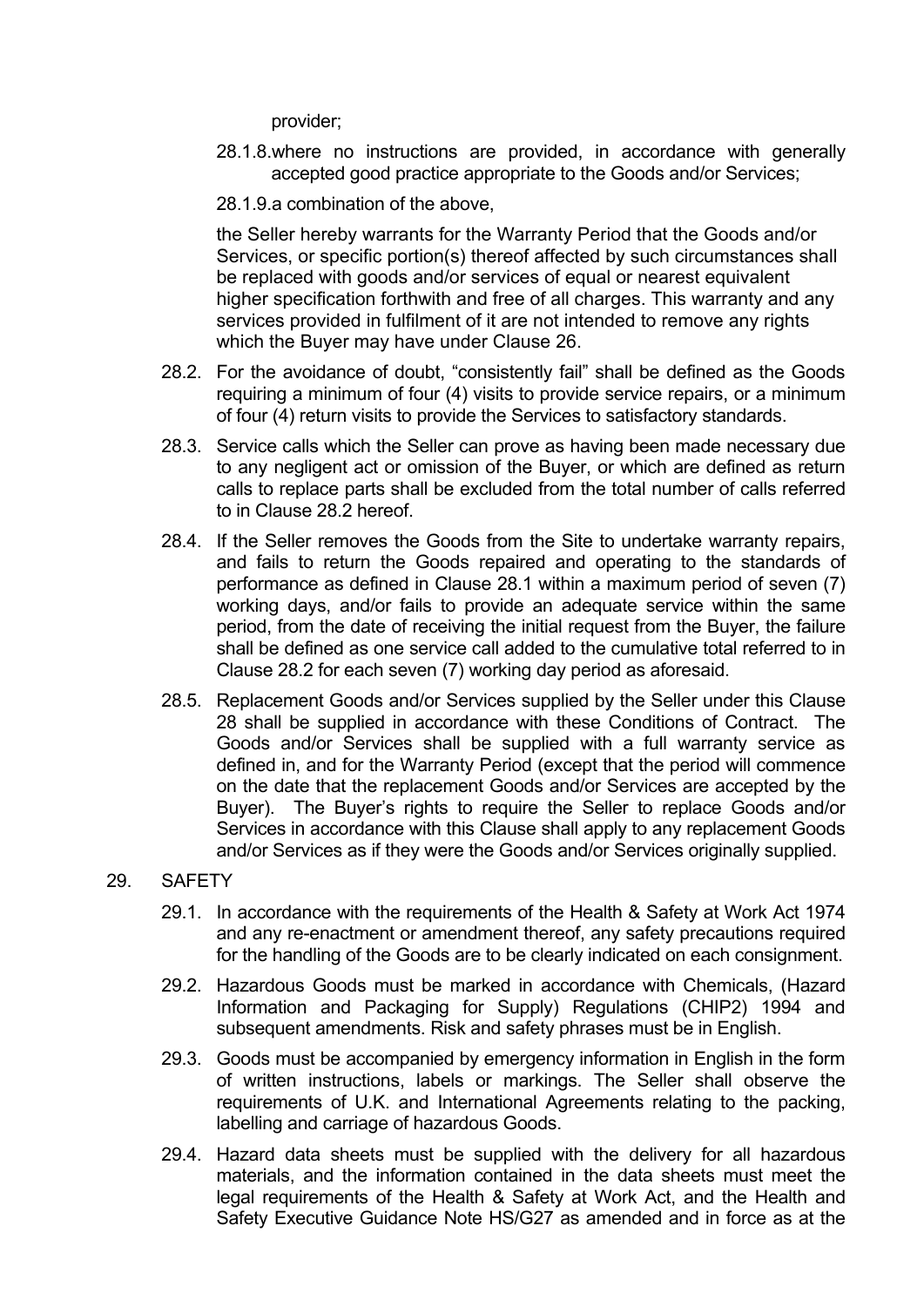provider;

- 28.1.8.where no instructions are provided, in accordance with generally accepted good practice appropriate to the Goods and/or Services;
- 28.1.9.a combination of the above,

the Seller hereby warrants for the Warranty Period that the Goods and/or Services, or specific portion(s) thereof affected by such circumstances shall be replaced with goods and/or services of equal or nearest equivalent higher specification forthwith and free of all charges. This warranty and any services provided in fulfilment of it are not intended to remove any rights which the Buyer may have under Clause 26.

- 28.2. For the avoidance of doubt, "consistently fail" shall be defined as the Goods requiring a minimum of four (4) visits to provide service repairs, or a minimum of four (4) return visits to provide the Services to satisfactory standards.
- 28.3. Service calls which the Seller can prove as having been made necessary due to any negligent act or omission of the Buyer, or which are defined as return calls to replace parts shall be excluded from the total number of calls referred to in Clause 28.2 hereof.
- 28.4. If the Seller removes the Goods from the Site to undertake warranty repairs, and fails to return the Goods repaired and operating to the standards of performance as defined in Clause 28.1 within a maximum period of seven (7) working days, and/or fails to provide an adequate service within the same period, from the date of receiving the initial request from the Buyer, the failure shall be defined as one service call added to the cumulative total referred to in Clause 28.2 for each seven (7) working day period as aforesaid.
- 28.5. Replacement Goods and/or Services supplied by the Seller under this Clause 28 shall be supplied in accordance with these Conditions of Contract. The Goods and/or Services shall be supplied with a full warranty service as defined in, and for the Warranty Period (except that the period will commence on the date that the replacement Goods and/or Services are accepted by the Buyer). The Buyer's rights to require the Seller to replace Goods and/or Services in accordance with this Clause shall apply to any replacement Goods and/or Services as if they were the Goods and/or Services originally supplied.

## 29. SAFETY

- 29.1. In accordance with the requirements of the Health & Safety at Work Act 1974 and any re-enactment or amendment thereof, any safety precautions required for the handling of the Goods are to be clearly indicated on each consignment.
- 29.2. Hazardous Goods must be marked in accordance with Chemicals, (Hazard Information and Packaging for Supply) Regulations (CHIP2) 1994 and subsequent amendments. Risk and safety phrases must be in English.
- 29.3. Goods must be accompanied by emergency information in English in the form of written instructions, labels or markings. The Seller shall observe the requirements of U.K. and International Agreements relating to the packing, labelling and carriage of hazardous Goods.
- 29.4. Hazard data sheets must be supplied with the delivery for all hazardous materials, and the information contained in the data sheets must meet the legal requirements of the Health & Safety at Work Act, and the Health and Safety Executive Guidance Note HS/G27 as amended and in force as at the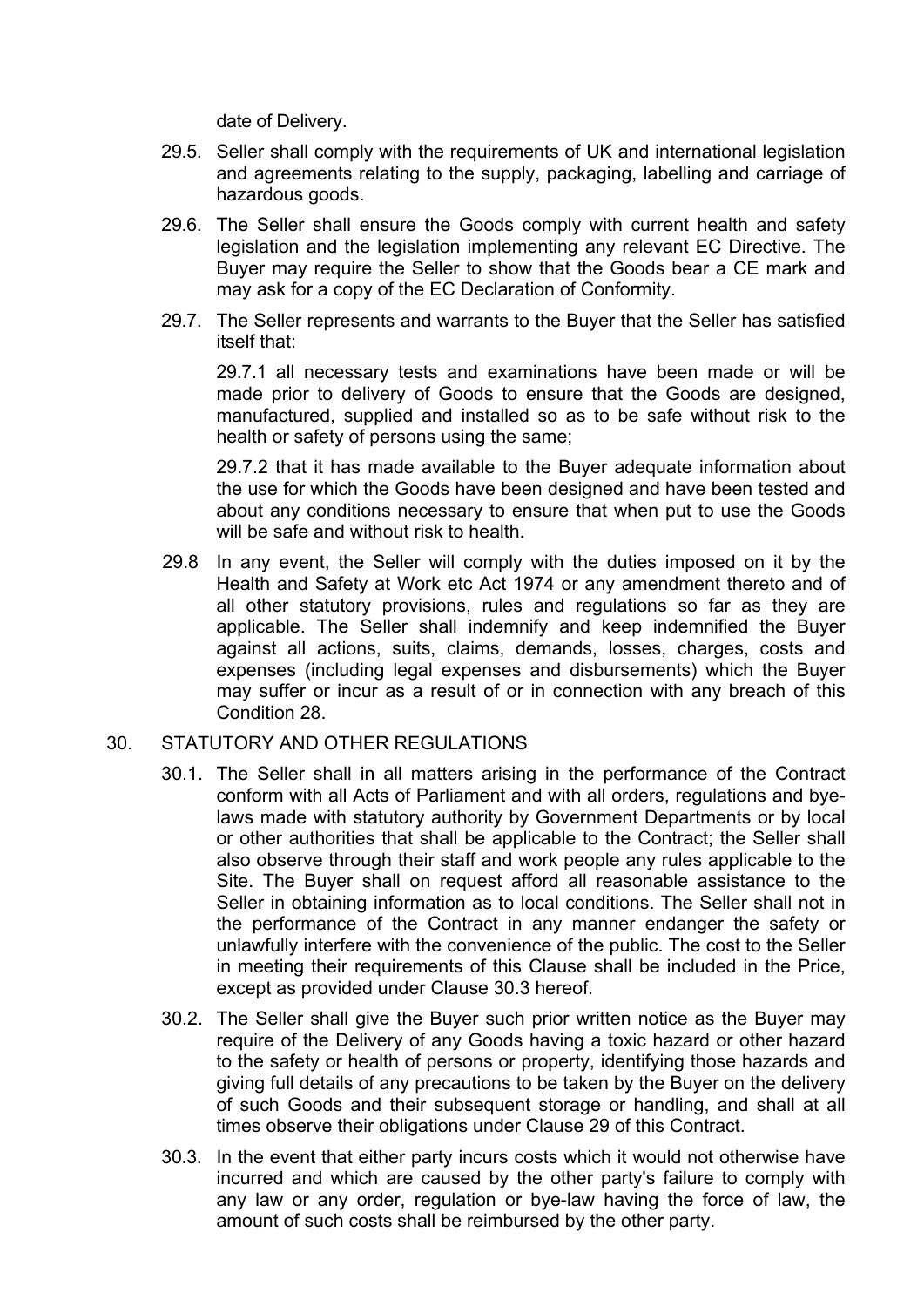date of Delivery.

- 29.5. Seller shall comply with the requirements of UK and international legislation and agreements relating to the supply, packaging, labelling and carriage of hazardous goods.
- 29.6. The Seller shall ensure the Goods comply with current health and safety legislation and the legislation implementing any relevant EC Directive. The Buyer may require the Seller to show that the Goods bear a CE mark and may ask for a copy of the EC Declaration of Conformity.
- 29.7. The Seller represents and warrants to the Buyer that the Seller has satisfied itself that:

29.7.1 all necessary tests and examinations have been made or will be made prior to delivery of Goods to ensure that the Goods are designed, manufactured, supplied and installed so as to be safe without risk to the health or safety of persons using the same;

29.7.2 that it has made available to the Buyer adequate information about the use for which the Goods have been designed and have been tested and about any conditions necessary to ensure that when put to use the Goods will be safe and without risk to health.

29.8 In any event, the Seller will comply with the duties imposed on it by the Health and Safety at Work etc Act 1974 or any amendment thereto and of all other statutory provisions, rules and regulations so far as they are applicable. The Seller shall indemnify and keep indemnified the Buyer against all actions, suits, claims, demands, losses, charges, costs and expenses (including legal expenses and disbursements) which the Buyer may suffer or incur as a result of or in connection with any breach of this Condition 28.

## 30. STATUTORY AND OTHER REGULATIONS

- 30.1. The Seller shall in all matters arising in the performance of the Contract conform with all Acts of Parliament and with all orders, regulations and byelaws made with statutory authority by Government Departments or by local or other authorities that shall be applicable to the Contract; the Seller shall also observe through their staff and work people any rules applicable to the Site. The Buyer shall on request afford all reasonable assistance to the Seller in obtaining information as to local conditions. The Seller shall not in the performance of the Contract in any manner endanger the safety or unlawfully interfere with the convenience of the public. The cost to the Seller in meeting their requirements of this Clause shall be included in the Price, except as provided under Clause 30.3 hereof.
- 30.2. The Seller shall give the Buyer such prior written notice as the Buyer may require of the Delivery of any Goods having a toxic hazard or other hazard to the safety or health of persons or property, identifying those hazards and giving full details of any precautions to be taken by the Buyer on the delivery of such Goods and their subsequent storage or handling, and shall at all times observe their obligations under Clause 29 of this Contract.
- 30.3. In the event that either party incurs costs which it would not otherwise have incurred and which are caused by the other party's failure to comply with any law or any order, regulation or bye-law having the force of law, the amount of such costs shall be reimbursed by the other party.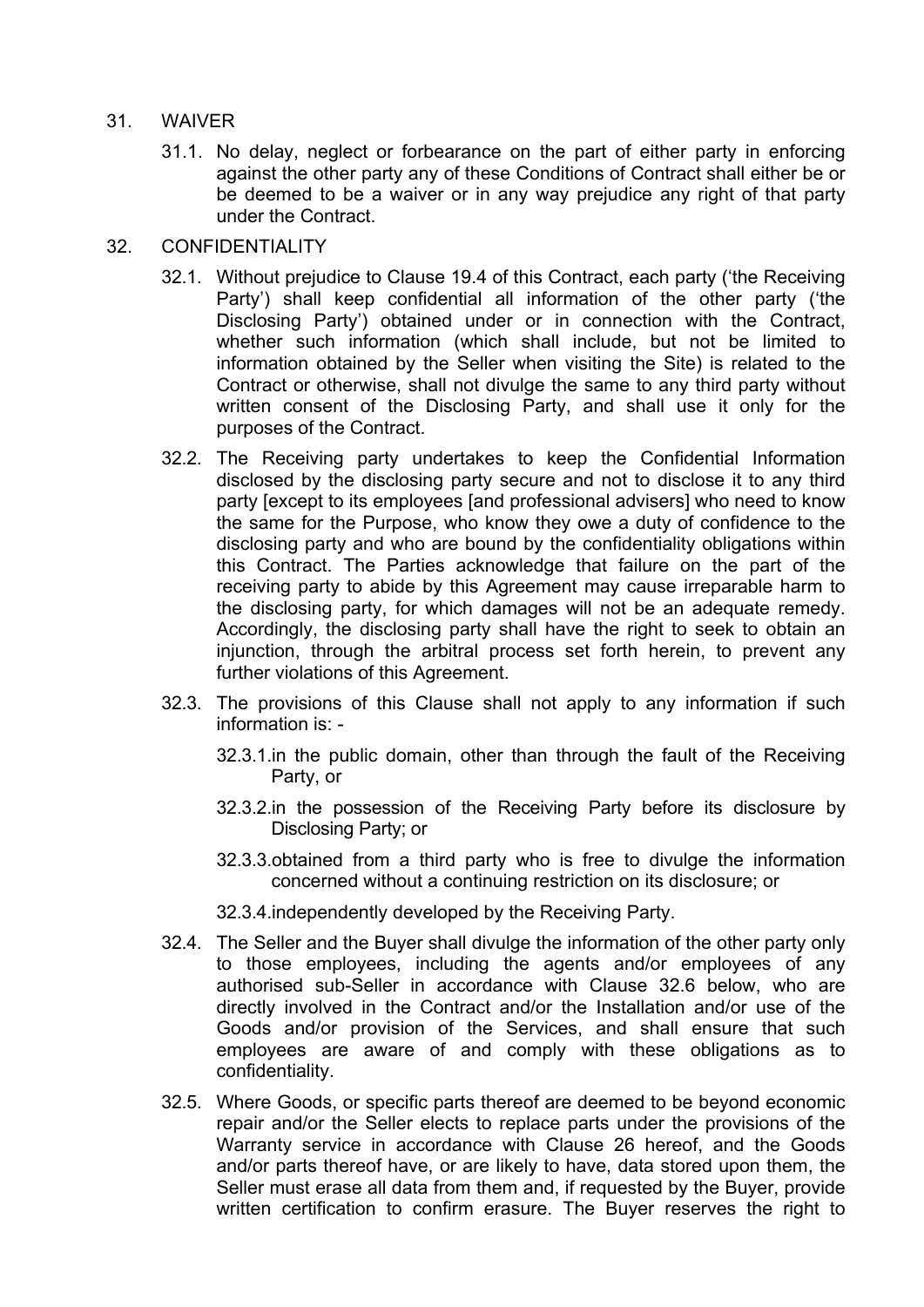#### 31. WAIVER

31.1. No delay, neglect or forbearance on the part of either party in enforcing against the other party any of these Conditions of Contract shall either be or be deemed to be a waiver or in any way prejudice any right of that party under the Contract.

### 32. CONFIDENTIALITY

- 32.1. Without prejudice to Clause 19.4 of this Contract, each party ('the Receiving Party') shall keep confidential all information of the other party ('the Disclosing Party') obtained under or in connection with the Contract, whether such information (which shall include, but not be limited to information obtained by the Seller when visiting the Site) is related to the Contract or otherwise, shall not divulge the same to any third party without written consent of the Disclosing Party, and shall use it only for the purposes of the Contract.
- 32.2. The Receiving party undertakes to keep the Confidential Information disclosed by the disclosing party secure and not to disclose it to any third party [except to its employees [and professional advisers] who need to know the same for the Purpose, who know they owe a duty of confidence to the disclosing party and who are bound by the confidentiality obligations within this Contract. The Parties acknowledge that failure on the part of the receiving party to abide by this Agreement may cause irreparable harm to the disclosing party, for which damages will not be an adequate remedy. Accordingly, the disclosing party shall have the right to seek to obtain an injunction, through the arbitral process set forth herein, to prevent any further violations of this Agreement.
- 32.3. The provisions of this Clause shall not apply to any information if such information is: -
	- 32.3.1.in the public domain, other than through the fault of the Receiving Party, or
	- 32.3.2.in the possession of the Receiving Party before its disclosure by Disclosing Party; or
	- 32.3.3.obtained from a third party who is free to divulge the information concerned without a continuing restriction on its disclosure; or
	- 32.3.4.independently developed by the Receiving Party.
- 32.4. The Seller and the Buyer shall divulge the information of the other party only to those employees, including the agents and/or employees of any authorised sub-Seller in accordance with Clause 32.6 below, who are directly involved in the Contract and/or the Installation and/or use of the Goods and/or provision of the Services, and shall ensure that such employees are aware of and comply with these obligations as to confidentiality.
- 32.5. Where Goods, or specific parts thereof are deemed to be beyond economic repair and/or the Seller elects to replace parts under the provisions of the Warranty service in accordance with Clause 26 hereof, and the Goods and/or parts thereof have, or are likely to have, data stored upon them, the Seller must erase all data from them and, if requested by the Buyer, provide written certification to confirm erasure. The Buyer reserves the right to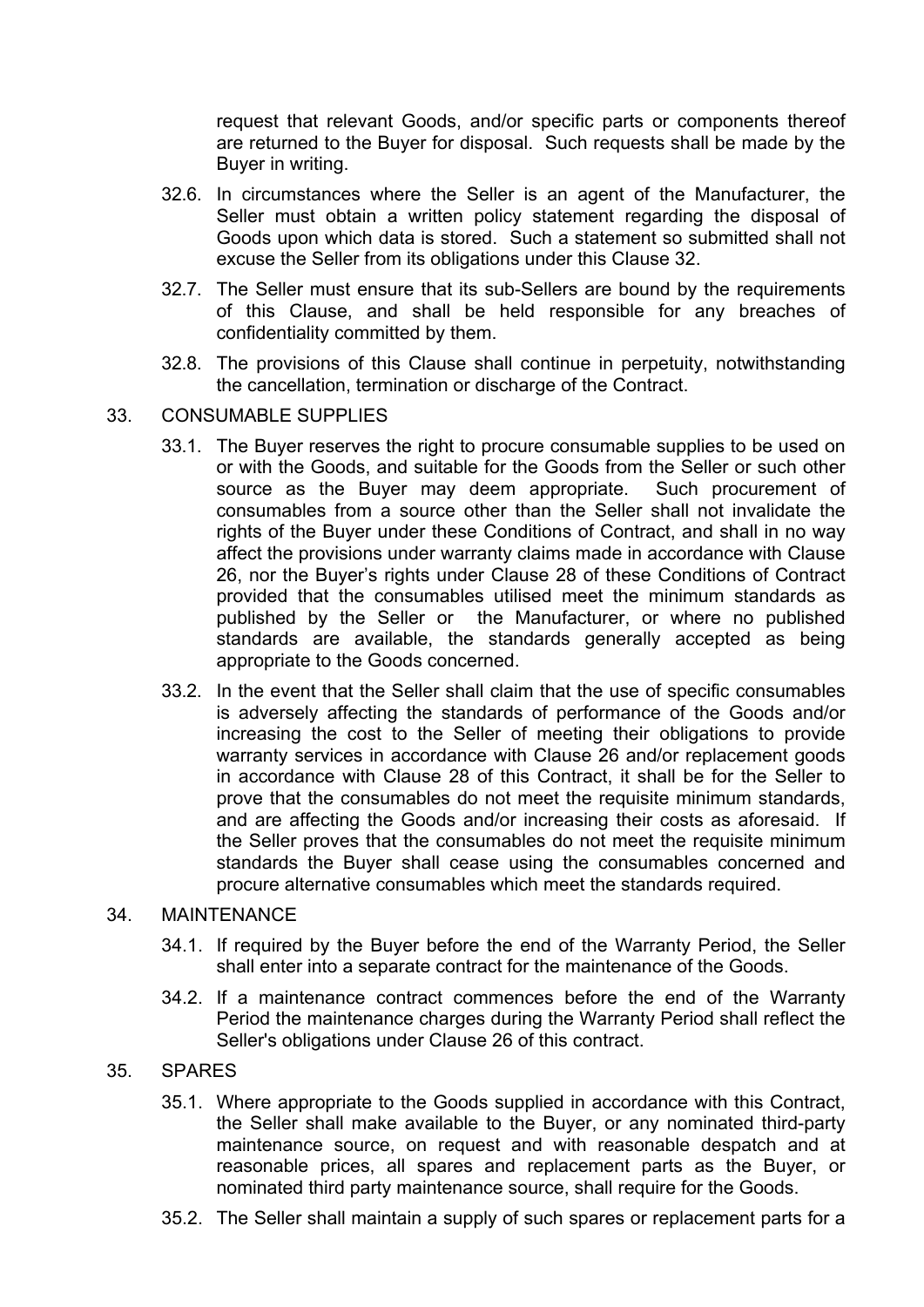request that relevant Goods, and/or specific parts or components thereof are returned to the Buyer for disposal. Such requests shall be made by the Buyer in writing.

- 32.6. In circumstances where the Seller is an agent of the Manufacturer, the Seller must obtain a written policy statement regarding the disposal of Goods upon which data is stored. Such a statement so submitted shall not excuse the Seller from its obligations under this Clause 32.
- 32.7. The Seller must ensure that its sub-Sellers are bound by the requirements of this Clause, and shall be held responsible for any breaches of confidentiality committed by them.
- 32.8. The provisions of this Clause shall continue in perpetuity, notwithstanding the cancellation, termination or discharge of the Contract.
- 33. CONSUMABLE SUPPLIES
	- 33.1. The Buyer reserves the right to procure consumable supplies to be used on or with the Goods, and suitable for the Goods from the Seller or such other source as the Buyer may deem appropriate. Such procurement of consumables from a source other than the Seller shall not invalidate the rights of the Buyer under these Conditions of Contract, and shall in no way affect the provisions under warranty claims made in accordance with Clause 26, nor the Buyer's rights under Clause 28 of these Conditions of Contract provided that the consumables utilised meet the minimum standards as published by the Seller or the Manufacturer, or where no published standards are available, the standards generally accepted as being appropriate to the Goods concerned.
	- 33.2. In the event that the Seller shall claim that the use of specific consumables is adversely affecting the standards of performance of the Goods and/or increasing the cost to the Seller of meeting their obligations to provide warranty services in accordance with Clause 26 and/or replacement goods in accordance with Clause 28 of this Contract, it shall be for the Seller to prove that the consumables do not meet the requisite minimum standards, and are affecting the Goods and/or increasing their costs as aforesaid. If the Seller proves that the consumables do not meet the requisite minimum standards the Buyer shall cease using the consumables concerned and procure alternative consumables which meet the standards required.

## 34. MAINTENANCE

- 34.1. If required by the Buyer before the end of the Warranty Period, the Seller shall enter into a separate contract for the maintenance of the Goods.
- 34.2. If a maintenance contract commences before the end of the Warranty Period the maintenance charges during the Warranty Period shall reflect the Seller's obligations under Clause 26 of this contract.

## 35. SPARES

- 35.1. Where appropriate to the Goods supplied in accordance with this Contract, the Seller shall make available to the Buyer, or any nominated third-party maintenance source, on request and with reasonable despatch and at reasonable prices, all spares and replacement parts as the Buyer, or nominated third party maintenance source, shall require for the Goods.
- 35.2. The Seller shall maintain a supply of such spares or replacement parts for a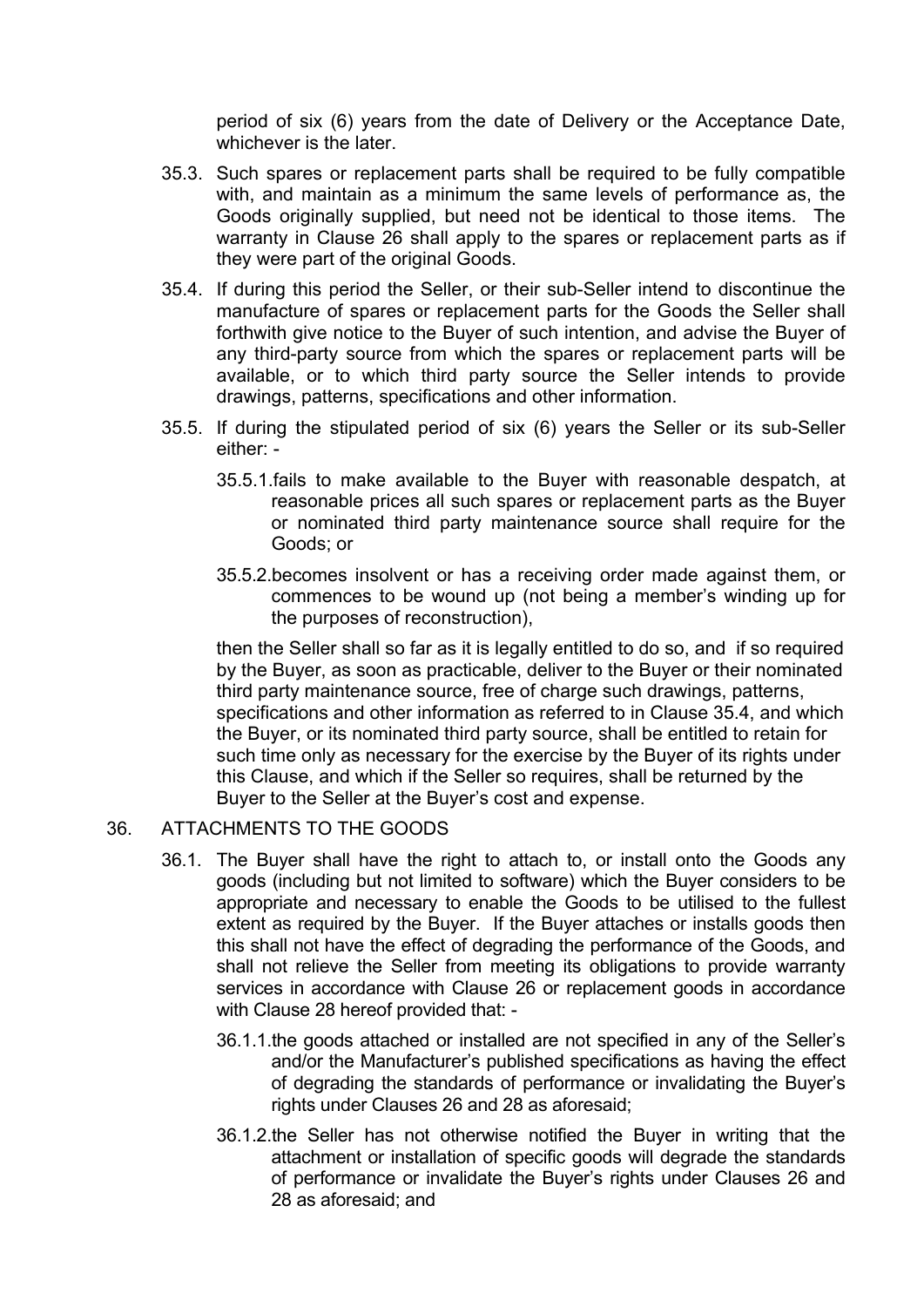period of six (6) years from the date of Delivery or the Acceptance Date, whichever is the later.

- 35.3. Such spares or replacement parts shall be required to be fully compatible with, and maintain as a minimum the same levels of performance as, the Goods originally supplied, but need not be identical to those items. The warranty in Clause 26 shall apply to the spares or replacement parts as if they were part of the original Goods.
- 35.4. If during this period the Seller, or their sub-Seller intend to discontinue the manufacture of spares or replacement parts for the Goods the Seller shall forthwith give notice to the Buyer of such intention, and advise the Buyer of any third-party source from which the spares or replacement parts will be available, or to which third party source the Seller intends to provide drawings, patterns, specifications and other information.
- 35.5. If during the stipulated period of six (6) years the Seller or its sub-Seller either: -
	- 35.5.1.fails to make available to the Buyer with reasonable despatch, at reasonable prices all such spares or replacement parts as the Buyer or nominated third party maintenance source shall require for the Goods; or
	- 35.5.2.becomes insolvent or has a receiving order made against them, or commences to be wound up (not being a member's winding up for the purposes of reconstruction),

then the Seller shall so far as it is legally entitled to do so, and if so required by the Buyer, as soon as practicable, deliver to the Buyer or their nominated third party maintenance source, free of charge such drawings, patterns, specifications and other information as referred to in Clause 35.4, and which the Buyer, or its nominated third party source, shall be entitled to retain for such time only as necessary for the exercise by the Buyer of its rights under this Clause, and which if the Seller so requires, shall be returned by the Buyer to the Seller at the Buyer's cost and expense.

#### 36. ATTACHMENTS TO THE GOODS

- 36.1. The Buyer shall have the right to attach to, or install onto the Goods any goods (including but not limited to software) which the Buyer considers to be appropriate and necessary to enable the Goods to be utilised to the fullest extent as required by the Buyer. If the Buyer attaches or installs goods then this shall not have the effect of degrading the performance of the Goods, and shall not relieve the Seller from meeting its obligations to provide warranty services in accordance with Clause 26 or replacement goods in accordance with Clause 28 hereof provided that: -
	- 36.1.1.the goods attached or installed are not specified in any of the Seller's and/or the Manufacturer's published specifications as having the effect of degrading the standards of performance or invalidating the Buyer's rights under Clauses 26 and 28 as aforesaid;
	- 36.1.2.the Seller has not otherwise notified the Buyer in writing that the attachment or installation of specific goods will degrade the standards of performance or invalidate the Buyer's rights under Clauses 26 and 28 as aforesaid; and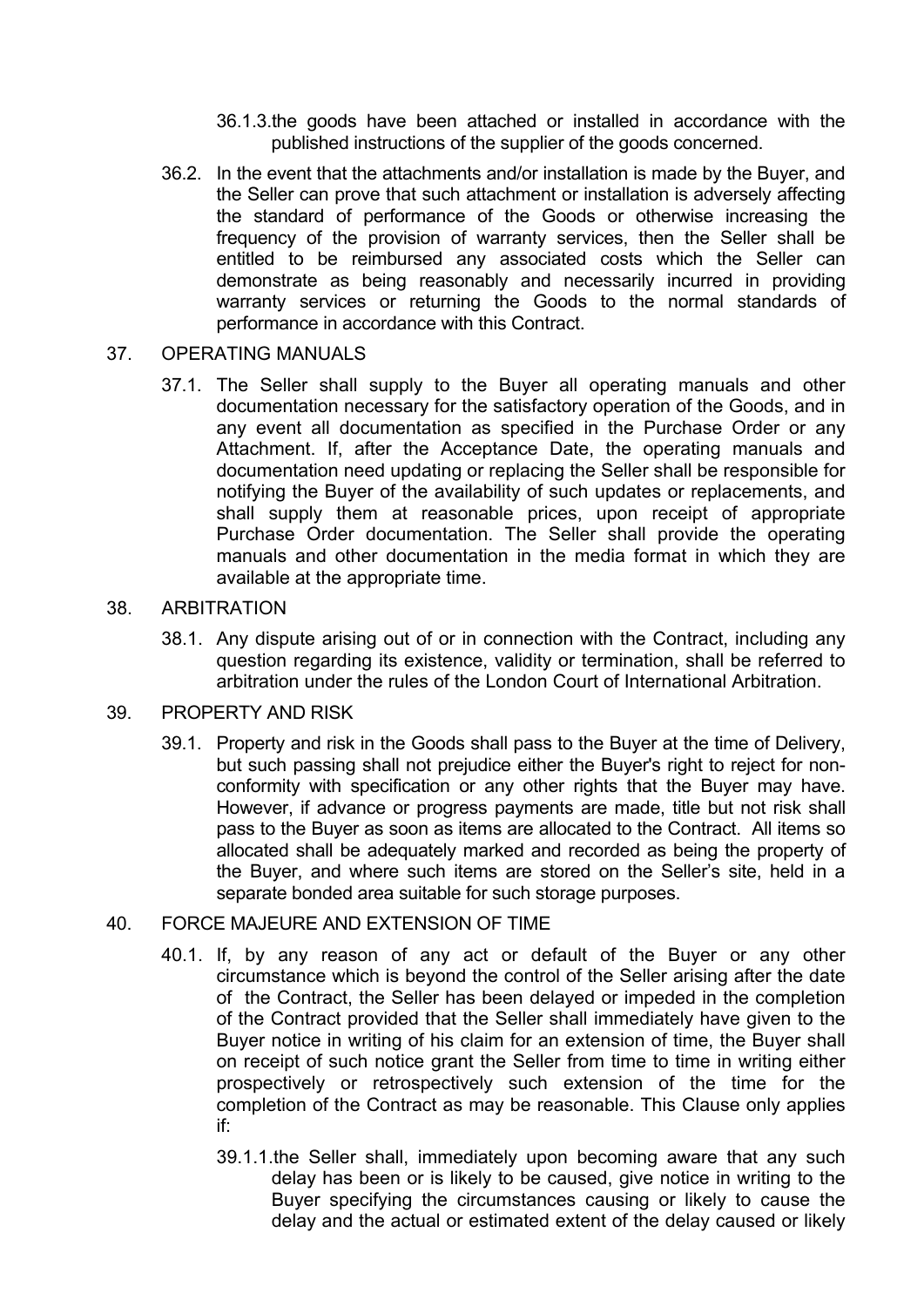- 36.1.3.the goods have been attached or installed in accordance with the published instructions of the supplier of the goods concerned.
- 36.2. In the event that the attachments and/or installation is made by the Buyer, and the Seller can prove that such attachment or installation is adversely affecting the standard of performance of the Goods or otherwise increasing the frequency of the provision of warranty services, then the Seller shall be entitled to be reimbursed any associated costs which the Seller can demonstrate as being reasonably and necessarily incurred in providing warranty services or returning the Goods to the normal standards of performance in accordance with this Contract.

#### 37. OPERATING MANUALS

37.1. The Seller shall supply to the Buyer all operating manuals and other documentation necessary for the satisfactory operation of the Goods, and in any event all documentation as specified in the Purchase Order or any Attachment. If, after the Acceptance Date, the operating manuals and documentation need updating or replacing the Seller shall be responsible for notifying the Buyer of the availability of such updates or replacements, and shall supply them at reasonable prices, upon receipt of appropriate Purchase Order documentation. The Seller shall provide the operating manuals and other documentation in the media format in which they are available at the appropriate time.

## 38. ARBITRATION

38.1. Any dispute arising out of or in connection with the Contract, including any question regarding its existence, validity or termination, shall be referred to arbitration under the rules of the London Court of International Arbitration.

# 39. PROPERTY AND RISK

39.1. Property and risk in the Goods shall pass to the Buyer at the time of Delivery, but such passing shall not prejudice either the Buyer's right to reject for nonconformity with specification or any other rights that the Buyer may have. However, if advance or progress payments are made, title but not risk shall pass to the Buyer as soon as items are allocated to the Contract. All items so allocated shall be adequately marked and recorded as being the property of the Buyer, and where such items are stored on the Seller's site, held in a separate bonded area suitable for such storage purposes.

## 40. FORCE MAJEURE AND EXTENSION OF TIME

- 40.1. If, by any reason of any act or default of the Buyer or any other circumstance which is beyond the control of the Seller arising after the date of the Contract, the Seller has been delayed or impeded in the completion of the Contract provided that the Seller shall immediately have given to the Buyer notice in writing of his claim for an extension of time, the Buyer shall on receipt of such notice grant the Seller from time to time in writing either prospectively or retrospectively such extension of the time for the completion of the Contract as may be reasonable. This Clause only applies if:
	- 39.1.1.the Seller shall, immediately upon becoming aware that any such delay has been or is likely to be caused, give notice in writing to the Buyer specifying the circumstances causing or likely to cause the delay and the actual or estimated extent of the delay caused or likely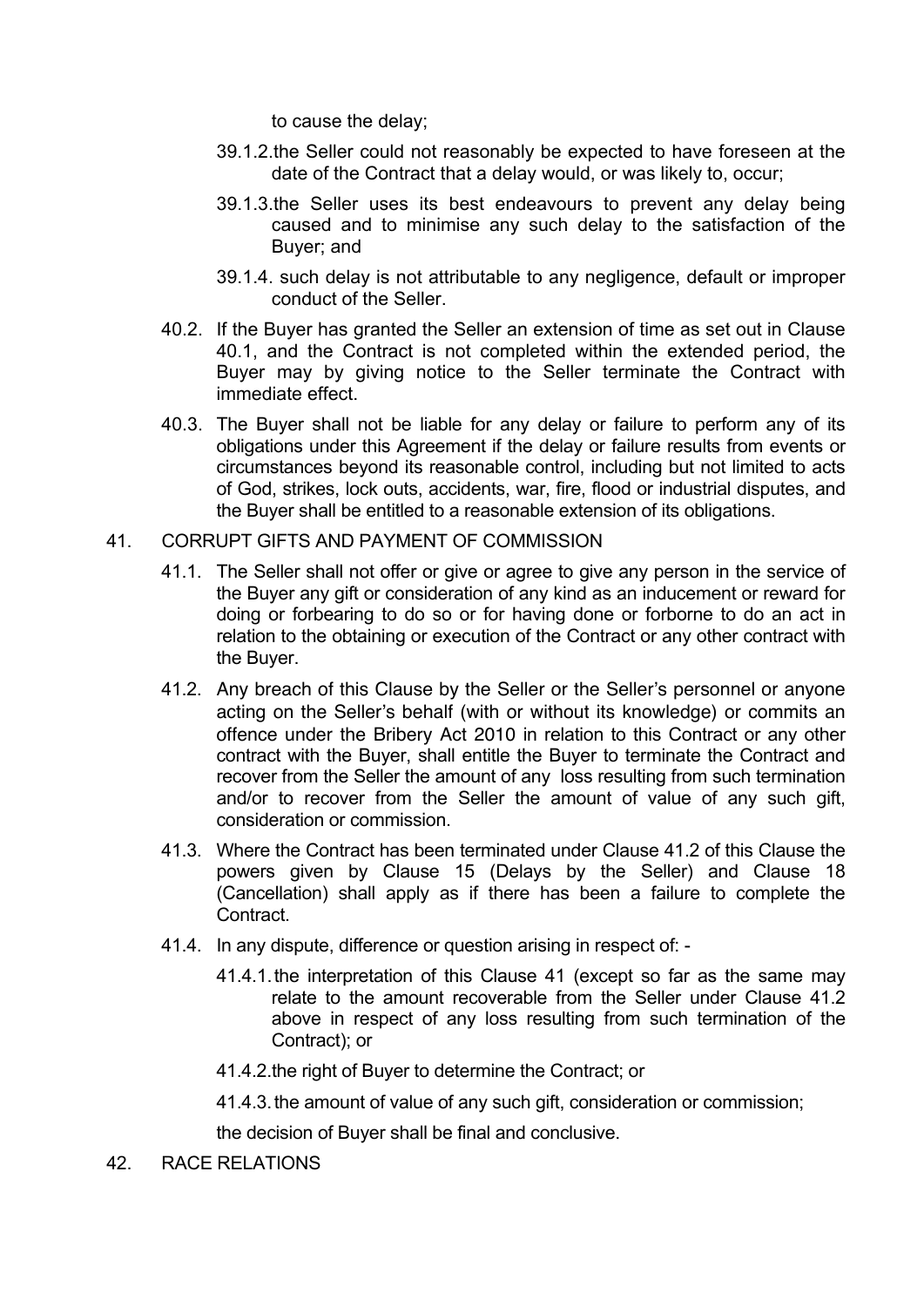to cause the delay;

- 39.1.2.the Seller could not reasonably be expected to have foreseen at the date of the Contract that a delay would, or was likely to, occur;
- 39.1.3.the Seller uses its best endeavours to prevent any delay being caused and to minimise any such delay to the satisfaction of the Buyer; and
- 39.1.4. such delay is not attributable to any negligence, default or improper conduct of the Seller.
- 40.2. If the Buyer has granted the Seller an extension of time as set out in Clause 40.1, and the Contract is not completed within the extended period, the Buyer may by giving notice to the Seller terminate the Contract with immediate effect.
- 40.3. The Buyer shall not be liable for any delay or failure to perform any of its obligations under this Agreement if the delay or failure results from events or circumstances beyond its reasonable control, including but not limited to acts of God, strikes, lock outs, accidents, war, fire, flood or industrial disputes, and the Buyer shall be entitled to a reasonable extension of its obligations.
- 41. CORRUPT GIFTS AND PAYMENT OF COMMISSION
	- 41.1. The Seller shall not offer or give or agree to give any person in the service of the Buyer any gift or consideration of any kind as an inducement or reward for doing or forbearing to do so or for having done or forborne to do an act in relation to the obtaining or execution of the Contract or any other contract with the Buyer.
	- 41.2. Any breach of this Clause by the Seller or the Seller's personnel or anyone acting on the Seller's behalf (with or without its knowledge) or commits an offence under the Bribery Act 2010 in relation to this Contract or any other contract with the Buyer, shall entitle the Buyer to terminate the Contract and recover from the Seller the amount of any loss resulting from such termination and/or to recover from the Seller the amount of value of any such gift, consideration or commission.
	- 41.3. Where the Contract has been terminated under Clause 41.2 of this Clause the powers given by Clause 15 (Delays by the Seller) and Clause 18 (Cancellation) shall apply as if there has been a failure to complete the Contract.
	- 41.4. In any dispute, difference or question arising in respect of:
		- 41.4.1.the interpretation of this Clause 41 (except so far as the same may relate to the amount recoverable from the Seller under Clause 41.2 above in respect of any loss resulting from such termination of the Contract); or
		- 41.4.2.the right of Buyer to determine the Contract; or

41.4.3.the amount of value of any such gift, consideration or commission;

the decision of Buyer shall be final and conclusive.

42. RACE RELATIONS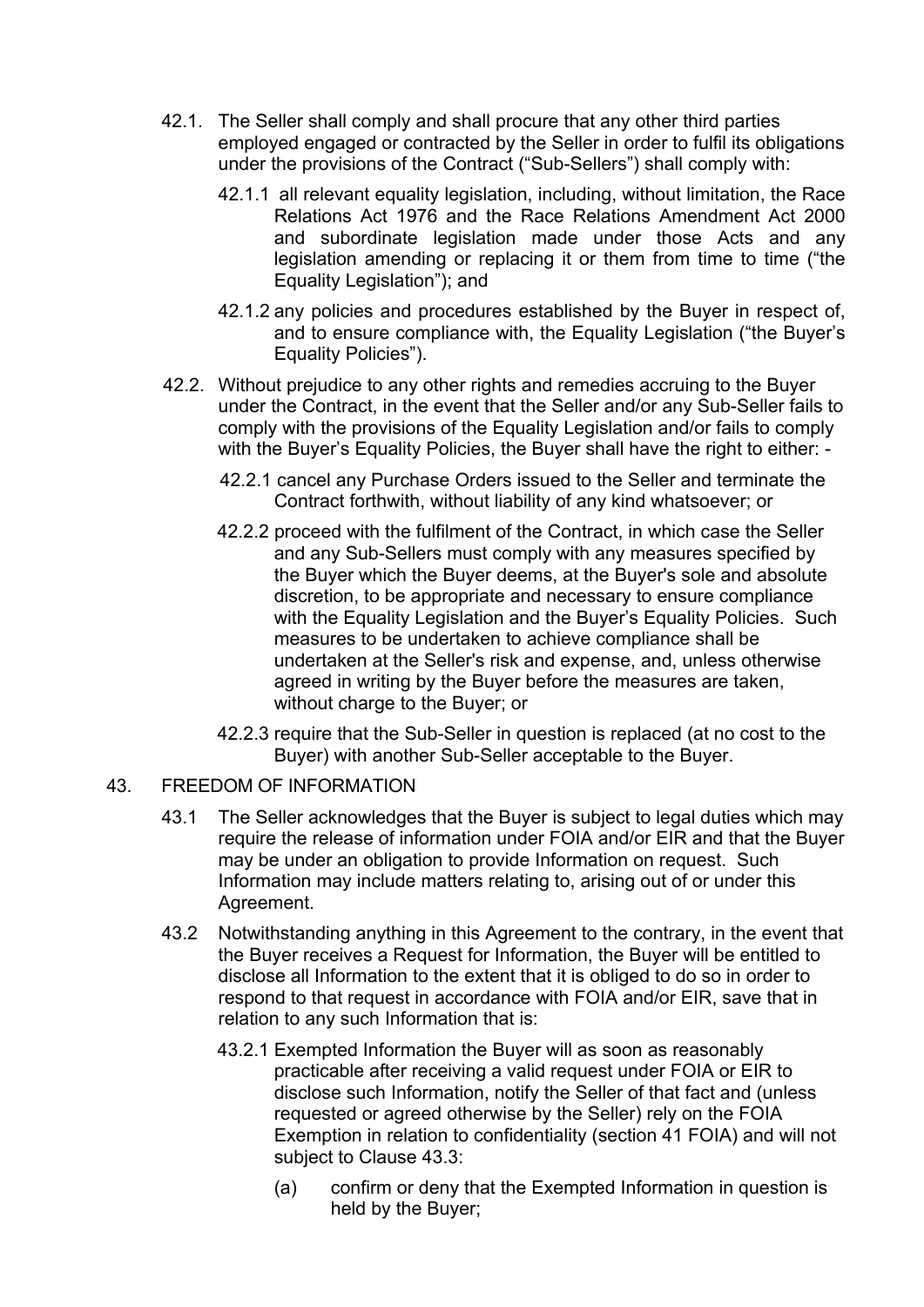- 42.1. The Seller shall comply and shall procure that any other third parties employed engaged or contracted by the Seller in order to fulfil its obligations under the provisions of the Contract ("Sub-Sellers") shall comply with:
	- 42.1.1 all relevant equality legislation, including, without limitation, the Race Relations Act 1976 and the Race Relations Amendment Act 2000 and subordinate legislation made under those Acts and any legislation amending or replacing it or them from time to time ("the Equality Legislation"); and
	- 42.1.2 any policies and procedures established by the Buyer in respect of, and to ensure compliance with, the Equality Legislation ("the Buyer's Equality Policies").
- 42.2. Without prejudice to any other rights and remedies accruing to the Buyer under the Contract, in the event that the Seller and/or any Sub-Seller fails to comply with the provisions of the Equality Legislation and/or fails to comply with the Buyer's Equality Policies, the Buyer shall have the right to either: -
	- 42.2.1 cancel any Purchase Orders issued to the Seller and terminate the Contract forthwith, without liability of any kind whatsoever; or
	- 42.2.2 proceed with the fulfilment of the Contract, in which case the Seller and any Sub-Sellers must comply with any measures specified by the Buyer which the Buyer deems, at the Buyer's sole and absolute discretion, to be appropriate and necessary to ensure compliance with the Equality Legislation and the Buyer's Equality Policies. Such measures to be undertaken to achieve compliance shall be undertaken at the Seller's risk and expense, and, unless otherwise agreed in writing by the Buyer before the measures are taken, without charge to the Buyer; or
	- 42.2.3 require that the Sub-Seller in question is replaced (at no cost to the Buyer) with another Sub-Seller acceptable to the Buyer.

## 43. FREEDOM OF INFORMATION

- 43.1 The Seller acknowledges that the Buyer is subject to legal duties which may require the release of information under FOIA and/or EIR and that the Buyer may be under an obligation to provide Information on request. Such Information may include matters relating to, arising out of or under this Agreement.
- 43.2 Notwithstanding anything in this Agreement to the contrary, in the event that the Buyer receives a Request for Information, the Buyer will be entitled to disclose all Information to the extent that it is obliged to do so in order to respond to that request in accordance with FOIA and/or EIR, save that in relation to any such Information that is:
	- 43.2.1 Exempted Information the Buyer will as soon as reasonably practicable after receiving a valid request under FOIA or EIR to disclose such Information, notify the Seller of that fact and (unless requested or agreed otherwise by the Seller) rely on the FOIA Exemption in relation to confidentiality (section 41 FOIA) and will not subject to Clause 43.3:
		- (a) confirm or deny that the Exempted Information in question is held by the Buyer;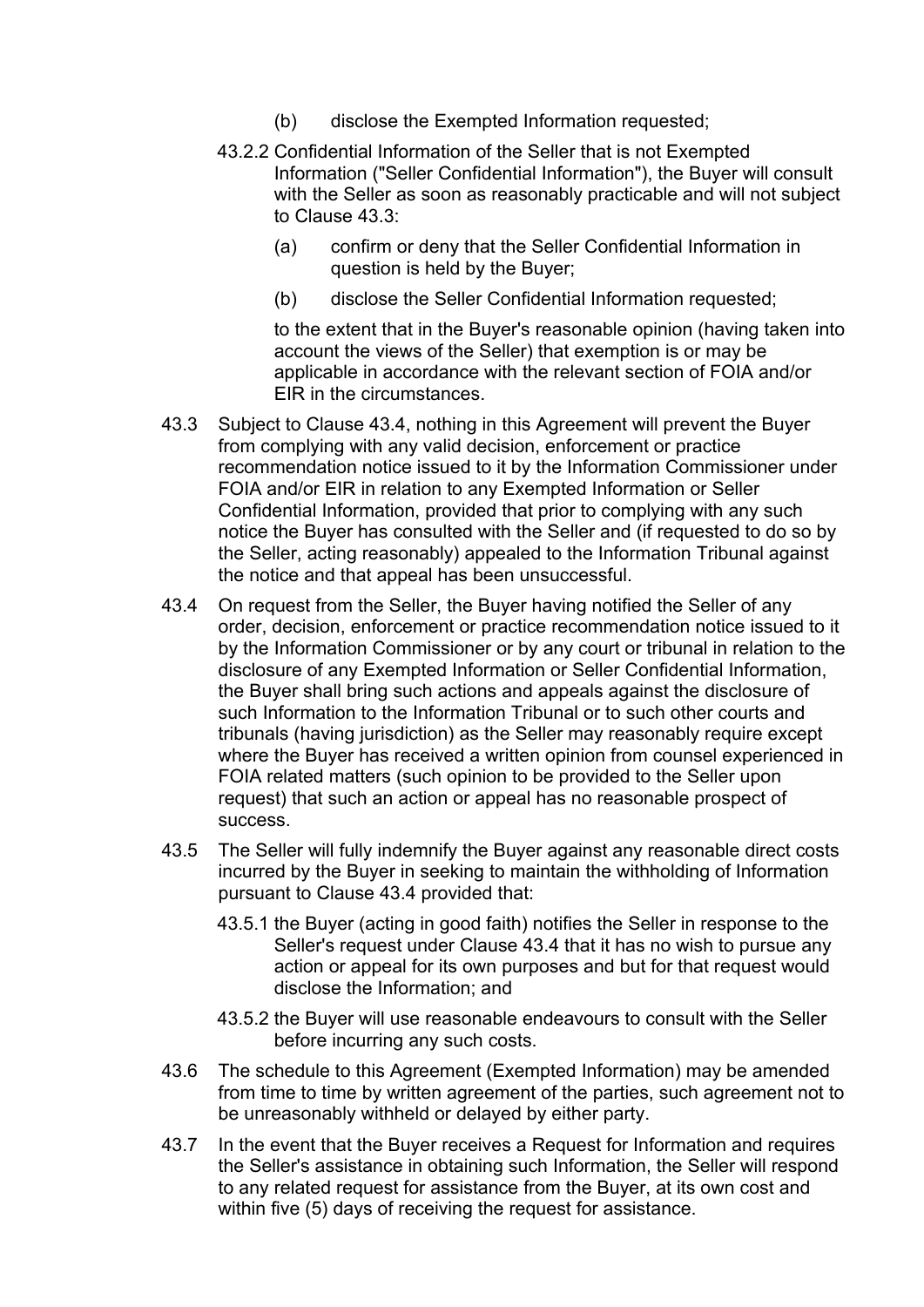- (b) disclose the Exempted Information requested;
- 43.2.2 Confidential Information of the Seller that is not Exempted Information ("Seller Confidential Information"), the Buyer will consult with the Seller as soon as reasonably practicable and will not subject to Clause 43.3:
	- (a) confirm or deny that the Seller Confidential Information in question is held by the Buyer;
	- (b) disclose the Seller Confidential Information requested;

to the extent that in the Buyer's reasonable opinion (having taken into account the views of the Seller) that exemption is or may be applicable in accordance with the relevant section of FOIA and/or EIR in the circumstances.

- 43.3 Subject to Clause 43.4, nothing in this Agreement will prevent the Buyer from complying with any valid decision, enforcement or practice recommendation notice issued to it by the Information Commissioner under FOIA and/or EIR in relation to any Exempted Information or Seller Confidential Information, provided that prior to complying with any such notice the Buyer has consulted with the Seller and (if requested to do so by the Seller, acting reasonably) appealed to the Information Tribunal against the notice and that appeal has been unsuccessful.
- 43.4 On request from the Seller, the Buyer having notified the Seller of any order, decision, enforcement or practice recommendation notice issued to it by the Information Commissioner or by any court or tribunal in relation to the disclosure of any Exempted Information or Seller Confidential Information, the Buyer shall bring such actions and appeals against the disclosure of such Information to the Information Tribunal or to such other courts and tribunals (having jurisdiction) as the Seller may reasonably require except where the Buyer has received a written opinion from counsel experienced in FOIA related matters (such opinion to be provided to the Seller upon request) that such an action or appeal has no reasonable prospect of success.
- 43.5 The Seller will fully indemnify the Buyer against any reasonable direct costs incurred by the Buyer in seeking to maintain the withholding of Information pursuant to Clause 43.4 provided that:
	- 43.5.1 the Buyer (acting in good faith) notifies the Seller in response to the Seller's request under Clause 43.4 that it has no wish to pursue any action or appeal for its own purposes and but for that request would disclose the Information; and
	- 43.5.2 the Buyer will use reasonable endeavours to consult with the Seller before incurring any such costs.
- 43.6 The schedule to this Agreement (Exempted Information) may be amended from time to time by written agreement of the parties, such agreement not to be unreasonably withheld or delayed by either party.
- 43.7 In the event that the Buyer receives a Request for Information and requires the Seller's assistance in obtaining such Information, the Seller will respond to any related request for assistance from the Buyer, at its own cost and within five (5) days of receiving the request for assistance.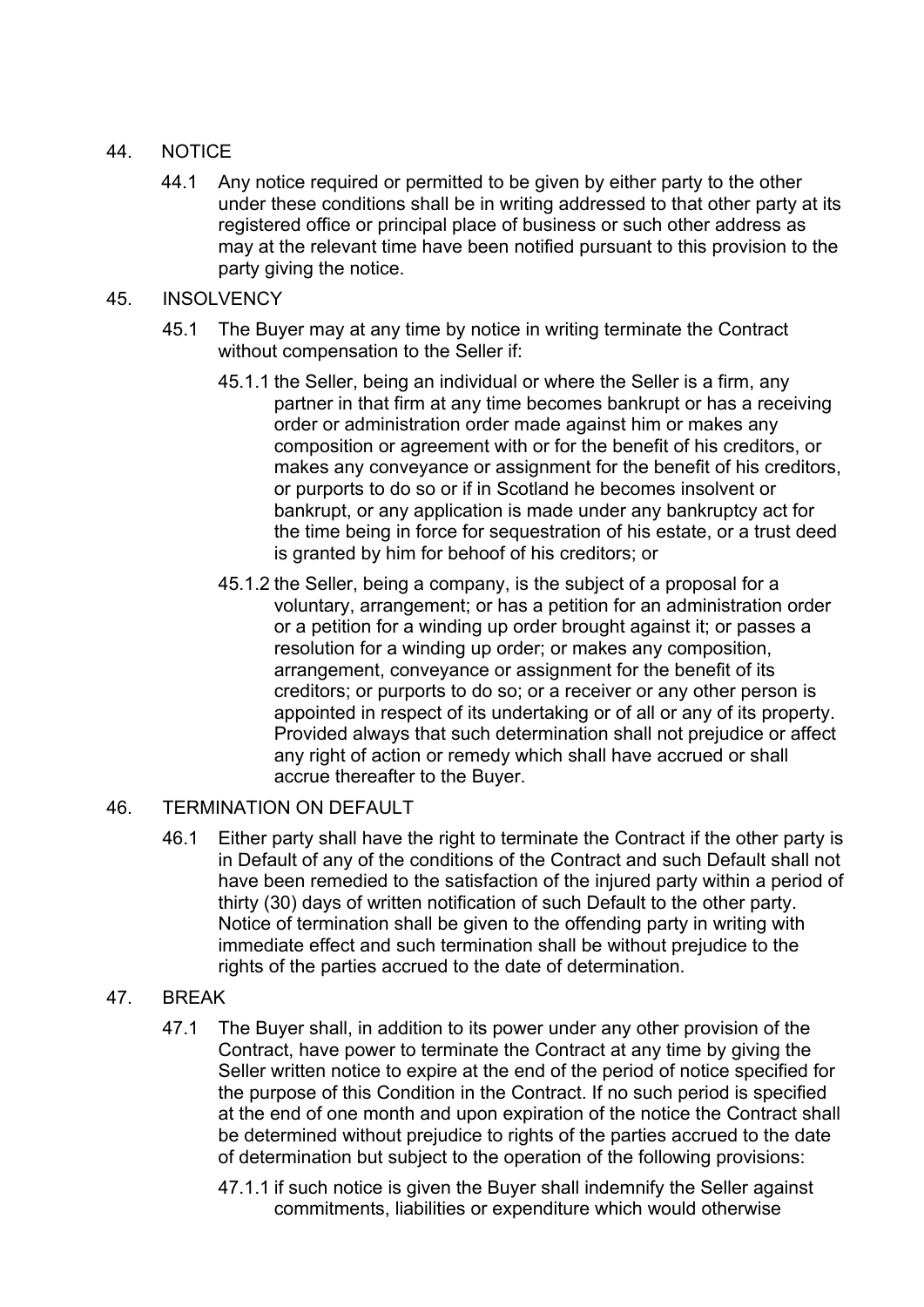# 44. NOTICE

- 44.1 Any notice required or permitted to be given by either party to the other under these conditions shall be in writing addressed to that other party at its registered office or principal place of business or such other address as may at the relevant time have been notified pursuant to this provision to the party giving the notice.
- 45. INSOLVENCY
	- 45.1 The Buyer may at any time by notice in writing terminate the Contract without compensation to the Seller if:
		- 45.1.1 the Seller, being an individual or where the Seller is a firm, any partner in that firm at any time becomes bankrupt or has a receiving order or administration order made against him or makes any composition or agreement with or for the benefit of his creditors, or makes any conveyance or assignment for the benefit of his creditors, or purports to do so or if in Scotland he becomes insolvent or bankrupt, or any application is made under any bankruptcy act for the time being in force for sequestration of his estate, or a trust deed is granted by him for behoof of his creditors; or
		- 45.1.2 the Seller, being a company, is the subject of a proposal for a voluntary, arrangement; or has a petition for an administration order or a petition for a winding up order brought against it; or passes a resolution for a winding up order; or makes any composition, arrangement, conveyance or assignment for the benefit of its creditors; or purports to do so; or a receiver or any other person is appointed in respect of its undertaking or of all or any of its property. Provided always that such determination shall not prejudice or affect any right of action or remedy which shall have accrued or shall accrue thereafter to the Buyer.

# 46. TERMINATION ON DEFAULT

46.1 Either party shall have the right to terminate the Contract if the other party is in Default of any of the conditions of the Contract and such Default shall not have been remedied to the satisfaction of the injured party within a period of thirty (30) days of written notification of such Default to the other party. Notice of termination shall be given to the offending party in writing with immediate effect and such termination shall be without prejudice to the rights of the parties accrued to the date of determination.

# 47. BREAK

- 47.1 The Buyer shall, in addition to its power under any other provision of the Contract, have power to terminate the Contract at any time by giving the Seller written notice to expire at the end of the period of notice specified for the purpose of this Condition in the Contract. If no such period is specified at the end of one month and upon expiration of the notice the Contract shall be determined without prejudice to rights of the parties accrued to the date of determination but subject to the operation of the following provisions:
	- 47.1.1 if such notice is given the Buyer shall indemnify the Seller against commitments, liabilities or expenditure which would otherwise